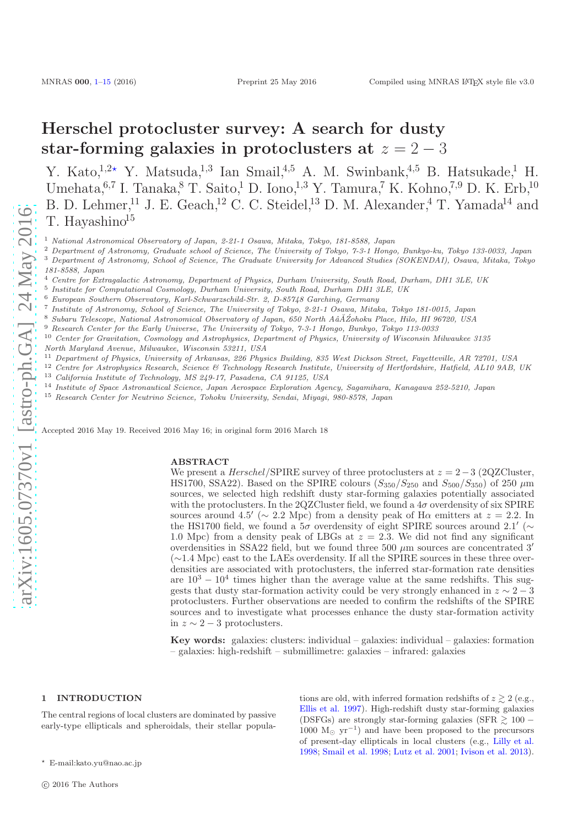# <span id="page-0-1"></span>Herschel protocluster survey: A search for dusty star-forming galaxies in protoclusters at  $z = 2 - 3$

Y. Kato,<sup>1,2</sup><sup>\*</sup> Y. Matsuda,<sup>1,3</sup> Ian Smail,<sup>4,5</sup> A. M. Swinbank,<sup>4,5</sup> B. Hatsukade,<sup>1</sup> H. Umehata,  $6.7$  I. Tanaka,  $8$  T. Saito, <sup>1</sup> D. Iono, <sup>1,3</sup> Y. Tamura, <sup>7</sup> K. Kohno, <sup>7,9</sup> D. K. Erb, <sup>10</sup> B. D. Lehmer,<sup>11</sup> J. E. Geach,<sup>12</sup> C. C. Steidel,<sup>13</sup> D. M. Alexander,<sup>4</sup> T. Yamada<sup>14</sup> and T. Hayashino $15$ 

- <sup>1</sup> National Astronomical Observatory of Japan, 2-21-1 Osawa, Mitaka, Tokyo, 181-8588, Japan
- <sup>2</sup> Department of Astronomy, Graduate school of Science, The University of Tokyo, 7-3-1 Hongo, Bunkyo-ku, Tokyo 133-0033, Japan
- <sup>3</sup> Department of Astronomy, School of Science, The Graduate University for Advanced Studies (SOKENDAI), Osawa, Mitaka, Tokyo 181-8588, Japan
- <sup>4</sup> Centre for Extragalactic Astronomy, Department of Physics, Durham University, South Road, Durham, DH1 3LE, UK
- 5 Institute for Computational Cosmology, Durham University, South Road, Durham DH1 3LE, UK
- <sup>6</sup> European Southern Observatory, Karl-Schwarzschild-Str. 2, D-85748 Garching, Germany
- 7 Institute of Astronomy, School of Science, The University of Tokyo, 2-21-1 Osawa, Mitaka, Tokyo 181-0015, Japan
- Subaru Telescope, National Astronomical Observatory of Japan, 650 North AâĂ Zohoku Place, Hilo, HI 96720, USA

<sup>9</sup> Research Center for the Early Universe, The University of Tokyo, 7-3-1 Hongo, Bunkyo, Tokyo 113-0033

- <sup>10</sup> Center for Gravitation, Cosmology and Astrophysics, Department of Physics, University of Wisconsin Milwaukee 3135 North Maryland Avenue, Milwaukee, Wisconsin 53211, USA
- <sup>11</sup> Department of Physics, University of Arkansas, 226 Physics Building, 835 West Dickson Street, Fayetteville, AR 72701, USA
- <sup>12</sup> Centre for Astrophysics Research, Science & Technology Research Institute, University of Hertfordshire, Hatfield, AL10 9AB, UK<br><sup>13</sup> Colifornia Institute of Technology MS 219-17, Pasadena, CA 91125, USA California Institute of Technology, MS 249-17, Pasadena, CA 91125, USA
- <sup>14</sup> Institute of Space Astronautical Science, Japan Aerospace Exploration Agency, Sagamihara, Kanagawa 252-5210, Japan
- <sup>15</sup> Research Center for Neutrino Science, Tohoku University, Sendai, Miyagi, 980-8578, Japan

Accepted 2016 May 19. Received 2016 May 16; in original form 2016 March 18

#### ABSTRACT

We present a  $Herschel/SPIRE$  survey of three protoclusters at  $z = 2-3$  (2QZCluster, HS1700, SSA22). Based on the SPIRE colours  $(S_{350}/S_{250} \text{ and } S_{500}/S_{350})$  of 250  $\mu$ m sources, we selected high redshift dusty star-forming galaxies potentially associated with the protoclusters. In the 2QZCluster field, we found a  $4\sigma$  overdensity of six SPIRE sources around 4.5′ ( $\sim$  2.2 Mpc) from a density peak of H $\alpha$  emitters at  $z = 2.2$ . In the HS1700 field, we found a  $5\sigma$  overdensity of eight SPIRE sources around 2.1' ( $\sim$ 1.0 Mpc) from a density peak of LBGs at  $z = 2.3$ . We did not find any significant overdensities in SSA22 field, but we found three 500  $\mu$ m sources are concentrated 3' (∼1.4 Mpc) east to the LAEs overdensity. If all the SPIRE sources in these three overdensities are associated with protoclusters, the inferred star-formation rate densities are  $10^3 - 10^4$  times higher than the average value at the same redshifts. This suggests that dusty star-formation activity could be very strongly enhanced in  $z \sim 2-3$ protoclusters. Further observations are needed to confirm the redshifts of the SPIRE sources and to investigate what processes enhance the dusty star-formation activity in  $z \sim 2-3$  protoclusters.

Key words: galaxies: clusters: individual – galaxies: individual – galaxies: formation – galaxies: high-redshift – submillimetre: galaxies – infrared: galaxies

#### <span id="page-0-0"></span>1 INTRODUCTION

The central regions of local clusters are dominated by passive early-type ellipticals and spheroidals, their stellar populations are old, with inferred formation redshifts of  $z \geq 2$  (e.g., [Ellis et al. 1997](#page-9-0)). High-redshift dusty star-forming galaxies (DSFGs) are strongly star-forming galaxies (SFR  $\geq 100$  – 1000  $M_{\odot}$  yr<sup>-1</sup>) and have been proposed to the precursors of present-day ellipticals in local clusters (e.g., [Lilly et al.](#page-9-1) [1998](#page-9-1); [Smail et al. 1998;](#page-9-2) [Lutz et al. 2001](#page-9-3); [Ivison et al. 2013](#page-9-4)).

<sup>⋆</sup> E-mail:kato.yu@nao.ac.jp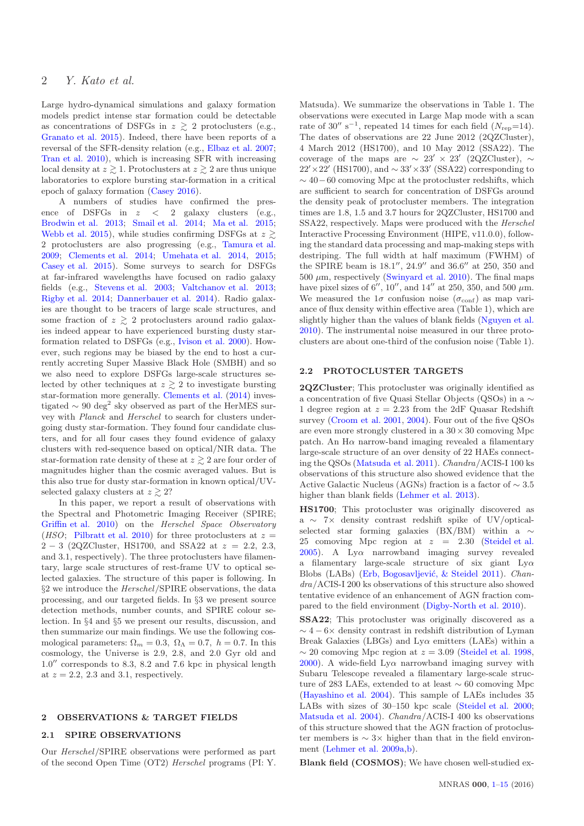Large hydro-dynamical simulations and galaxy formation models predict intense star formation could be detectable as concentrations of DSFGs in  $z \gtrsim 2$  protoclusters (e.g., [Granato et al. 2015](#page-9-5)). Indeed, there have been reports of a reversal of the SFR-density relation (e.g., [Elbaz et al. 2007;](#page-9-6) [Tran et al. 2010](#page-9-7)), which is increasing SFR with increasing local density at  $z \gtrsim 1$ . Protoclusters at  $z \gtrsim 2$  are thus unique laboratories to explore bursting star-formation in a critical epoch of galaxy formation [\(Casey 2016](#page-9-8)).

A numbers of studies have confirmed the presence of DSFGs in  $z \leq 2$  galaxy clusters (e.g., [Brodwin et al. 2013](#page-8-0); [Smail et al. 2014;](#page-9-9) [Ma et al. 2015;](#page-9-10) [Webb et al. 2015](#page-9-11)), while studies confirming DSFGs at  $z \geq$ 2 protoclusters are also progressing (e.g., [Tamura et al.](#page-9-12) [2009](#page-9-12); [Clements et al. 2014](#page-9-13); [Umehata et al. 2014,](#page-9-14) [2015;](#page-9-15) [Casey et al. 2015](#page-9-16)). Some surveys to search for DSFGs at far-infrared wavelengths have focused on radio galaxy fields (e.g., [Stevens et al. 2003](#page-9-17); [Valtchanov et al. 2013;](#page-9-18) [Rigby et al. 2014](#page-9-19); [Dannerbauer et al. 2014](#page-9-20)). Radio galaxies are thought to be tracers of large scale structures, and some fraction of  $z \geq 2$  protoclusters around radio galaxies indeed appear to have experienced bursting dusty starformation related to DSFGs (e.g., [Ivison et al. 2000\)](#page-9-21). However, such regions may be biased by the end to host a currently accreting Super Massive Black Hole (SMBH) and so we also need to explore DSFGs large-scale structures selected by other techniques at  $z \geq 2$  to investigate bursting star-formation more generally. [Clements et al.](#page-9-13) [\(2014\)](#page-9-13) investigated  $\sim 90 \text{ deg}^2$  sky observed as part of the HerMES survey with Planck and Herschel to search for clusters undergoing dusty star-formation. They found four candidate clusters, and for all four cases they found evidence of galaxy clusters with red-sequence based on optical/NIR data. The star-formation rate density of these at  $z \geq 2$  are four order of magnitudes higher than the cosmic averaged values. But is this also true for dusty star-formation in known optical/UVselected galaxy clusters at  $z \geq 2$ ?

In this paper, we report a result of observations with the Spectral and Photometric Imaging Receiver (SPIRE; [Griffin et al. 2010](#page-9-22)) on the Herschel Space Observatory (*HSO*; [Pilbratt et al. 2010\)](#page-9-23) for three protoclusters at  $z =$  $2 - 3$  (2QZCluster, HS1700, and SSA22 at  $z = 2.2, 2.3$ , and 3.1, respectively). The three protoclusters have filamentary, large scale structures of rest-frame UV to optical selected galaxies. The structure of this paper is following. In §2 we introduce the Herschel/SPIRE observations, the data processing, and our targeted fields. In §3 we present source detection methods, number counts, and SPIRE colour selection. In §4 and §5 we present our results, discussion, and then summarize our main findings. We use the following cosmological parameters:  $\Omega_m = 0.3$ ,  $\Omega_{\Lambda} = 0.7$ ,  $h = 0.7$ . In this cosmology, the Universe is 2.9, 2.8, and 2.0 Gyr old and 1.0′′ corresponds to 8.3, 8.2 and 7.6 kpc in physical length at  $z = 2.2$ , 2.3 and 3.1, respectively.

#### 2 OBSERVATIONS & TARGET FIELDS

#### 2.1 SPIRE OBSERVATIONS

Our Herschel/SPIRE observations were performed as part of the second Open Time (OT2) Herschel programs (PI: Y. Matsuda). We summarize the observations in Table 1. The observations were executed in Large Map mode with a scan rate of 30'' s<sup>-1</sup>, repeated 14 times for each field ( $N_{\text{rep}}$ =14). The dates of observations are 22 June 2012 (2QZCluster), 4 March 2012 (HS1700), and 10 May 2012 (SSA22). The coverage of the maps are  $\sim 23' \times 23'$  (2QZCluster),  $\sim$ 22′ × 22′ (HS1700), and ~ 33′ × 33′ (SSA22) corresponding to  $\sim$  40−60 comoving Mpc at the protocluster redshifts, which are sufficient to search for concentration of DSFGs around the density peak of protocluster members. The integration times are 1.8, 1.5 and 3.7 hours for 2QZCluster, HS1700 and SSA22, respectively. Maps were produced with the Herschel Interactive Processing Environment (HIPE, v11.0.0), following the standard data processing and map-making steps with destriping. The full width at half maximum (FWHM) of the SPIRE beam is 18.1′′, 24.9′′ and 36.6′′ at 250, 350 and  $500 \ \mu m$ , respectively [\(Swinyard et al. 2010](#page-9-24)). The final maps have pixel sizes of  $6''$ ,  $10''$ , and  $14''$  at 250, 350, and 500  $\mu$ m. We measured the  $1\sigma$  confusion noise  $(\sigma_{\text{conf}})$  as map variance of flux density within effective area (Table 1), which are slightly higher than the values of blank fields [\(Nguyen et al.](#page-9-25) [2010](#page-9-25)). The instrumental noise measured in our three protoclusters are about one-third of the confusion noise (Table 1).

#### 2.2 PROTOCLUSTER TARGETS

2QZCluster; This protocluster was originally identified as a concentration of five Quasi Stellar Objects (QSOs) in a ∼ 1 degree region at  $z = 2.23$  from the 2dF Quasar Redshift survey [\(Croom et al. 2001](#page-9-26), [2004\)](#page-9-27). Four out of the five QSOs are even more strongly clustered in a  $30 \times 30$  comoving Mpc patch. An  $H\alpha$  narrow-band imaging revealed a filamentary large-scale structure of an over density of 22 HAEs connecting the QSOs [\(Matsuda et al. 2011](#page-9-28)). Chandra/ACIS-I 100 ks observations of this structure also showed evidence that the Active Galactic Nucleus (AGNs) fraction is a factor of ∼ 3.5 higher than blank fields [\(Lehmer et al. 2013](#page-9-29)).

HS1700; This protocluster was originally discovered as a ∼ 7× density contrast redshift spike of UV/opticalselected star forming galaxies (BX/BM) within a ∼ 25 comoving Mpc region at  $z = 2.30$  [\(Steidel et al.](#page-9-30)  $2005$ ). A Ly $\alpha$  narrowband imaging survey revealed a filamentary large-scale structure of six giant  $Ly\alpha$ Blobs (LABs) (Erb, Bogosavljević, & Steidel 2011). Chandra/ACIS-I 200 ks observations of this structure also showed tentative evidence of an enhancement of AGN fraction compared to the field environment [\(Digby-North et al. 2010](#page-9-32)).

SSA22; This protocluster was originally discovered as a  $\sim 4-6\times$  density contrast in redshift distribution of Lyman Break Galaxies (LBGs) and  $Ly\alpha$  emitters (LAEs) within a  $\sim$  20 comoving Mpc region at  $z = 3.09$  [\(Steidel et al. 1998,](#page-9-33) [2000](#page-9-34)). A wide-field  $Ly\alpha$  narrowband imaging survey with Subaru Telescope revealed a filamentary large-scale structure of 283 LAEs, extended to at least ∼ 60 comoving Mpc [\(Hayashino et al. 2004](#page-9-35)). This sample of LAEs includes 35 LABs with sizes of 30–150 kpc scale [\(Steidel et al. 2000;](#page-9-34) [Matsuda et al. 2004](#page-9-36)). Chandra/ACIS-I 400 ks observations of this structure showed that the AGN fraction of protocluster members is ∼ 3× higher than that in the field environment [\(Lehmer et al. 2009a](#page-9-37)[,b\)](#page-9-38).

Blank field (COSMOS); We have chosen well-studied ex-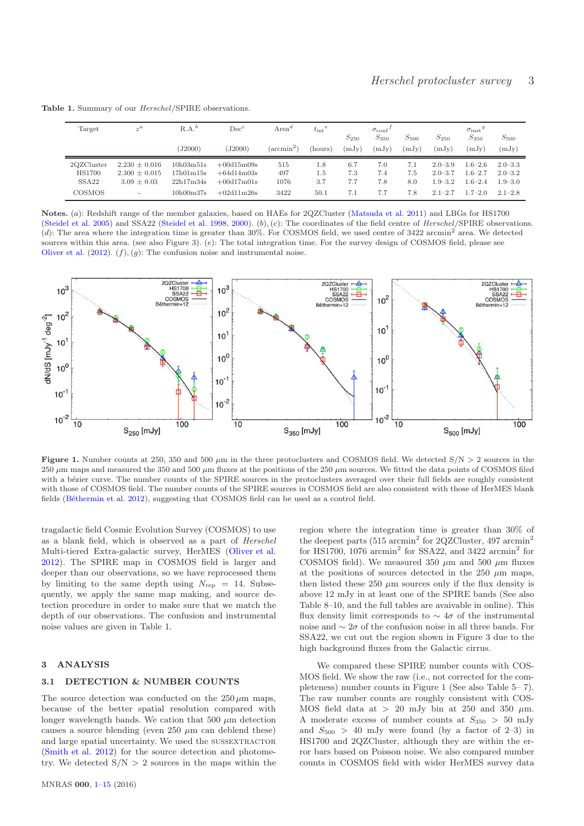| Target            | $z^a$                    | $R.A.^b$  | $Dec^c$      | Area <sup>d</sup>   | $t_{\rm int}^{\text{e}}$ |                    | $\sigma_{\rm conf}$ |                    |                    | $\sigma_{inst}$ <sup>g</sup> |                    |
|-------------------|--------------------------|-----------|--------------|---------------------|--------------------------|--------------------|---------------------|--------------------|--------------------|------------------------------|--------------------|
|                   |                          | (J2000)   | J2000        | $(\text{arcmin}^2)$ | (hours)                  | $S_{250}$<br>(mJy) | $S_{350}$<br>(mJy)  | $S_{500}$<br>(mJy) | $S_{250}$<br>(mJy) | $S_{350}$<br>mJy)            | $S_{500}$<br>(mJy) |
|                   |                          |           |              |                     |                          |                    |                     |                    |                    |                              |                    |
| 2QZCluster        | $2.230 \pm 0.016$        | 10h03m51s | $+00d15m09s$ | 515                 | 1.8                      | 6.7                | 7.0                 | 7.1                | $2.0 - 3.9$        | $1.6 - 2.6$                  | $2.0 - 3.3$        |
| <b>HS1700</b>     | $2.300 \pm 0.015$        | 17h01m15s | $+64d14m03s$ | 497                 | 1.5                      | 7.3                | 7.4                 | 7.5                | $2.0 - 3.7$        | $1.6 - 2.7$                  | $2.0 - 3.2$        |
| SSA <sub>22</sub> | $3.09 \pm 0.03$          | 22h17m34s | $+00d17m01s$ | 1076                | 3.7                      | 7.7                | 7.8                 | 8.0                | $1.9 - 3.2$        | $1.6 - 2.4$                  | $1.9 - 3.0$        |
| COSMOS            | $\overline{\phantom{a}}$ | 10h00m37s | $+02d11m26s$ | 3422                | 50.1                     | 7.1                | 7.7                 | 7.8                | $2.1 - 2.7$        | $1.7 - 2.0$                  | $2.1 - 2.8$        |

Table 1. Summary of our Herschel/SPIRE observations.

Notes. (a): Redshift range of the member galaxies, based on HAEs for 2QZCluster [\(Matsuda et al. 2011](#page-9-28)) and LBGs for HS1700 [\(Steidel et al. 2005\)](#page-9-30) and SSA22 [\(Steidel et al. 1998,](#page-9-33) [2000\)](#page-9-34). (b), (c): The coordinates of the field centre of Herschel/SPIRE observations. (d): The area where the integration time is greater than  $30\%$ . For COSMOS field, we used centre of  $3422$  arcmin<sup>2</sup> area. We detected sources within this area. (see also Figure 3). (e): The total integration time. For the survey design of COSMOS field, please see [Oliver et al.](#page-9-39)  $(2012)$  $(2012)$ .  $(f)$ ,  $(g)$ : The confusion noise and instrumental noise.



Figure 1. Number counts at 250, 350 and 500  $\mu$ m in the three protoclusters and COSMOS field. We detected S/N  $>$  2 sources in the 250  $\mu$ m maps and measured the 350 and 500  $\mu$ m fluxes at the positions of the 250  $\mu$ m sources. We fitted the data points of COSMOS filed with a bézier curve. The number counts of the SPIRE sources in the protoclusters averaged over their full fields are roughly consistent with those of COSMOS field. The number counts of the SPIRE sources in COSMOS field are also consistent with those of HerMES blank fields (Béthermin et al. 2012), suggesting that COSMOS field can be used as a control field.

tragalactic field Cosmic Evolution Survey (COSMOS) to use as a blank field, which is observed as a part of Herschel Multi-tiered Extra-galactic survey, HerMES [\(Oliver et al.](#page-9-39) [2012](#page-9-39)). The SPIRE map in COSMOS field is larger and deeper than our observations, so we have reprocessed them by limiting to the same depth using  $N_{\text{rep}} = 14$ . Subsequently, we apply the same map making, and source detection procedure in order to make sure that we match the depth of our observations. The confusion and instrumental noise values are given in Table 1.

#### 3 ANALYSIS

#### 3.1 DETECTION & NUMBER COUNTS

The source detection was conducted on the  $250 \,\mu m$  maps, because of the better spatial resolution compared with longer wavelength bands. We cation that 500  $\mu$ m detection causes a source blending (even  $250 \mu m$  can deblend these) and large spatial uncertainty. We used the SUSSEXTRACTOR [\(Smith et al. 2012](#page-9-40)) for the source detection and photometry. We detected  $S/N > 2$  sources in the maps within the region where the integration time is greater than 30% of the deepest parts  $(515 \text{ arcmin}^2 \text{ for } 2QZCluster, 497 \text{ arcmin}^2$ for HS1700, 1076  $\mathrm{arcmin}^2$  for SSA22, and 3422  $\mathrm{arcmin}^2$  for COSMOS field). We measured 350  $\mu$ m and 500  $\mu$ m fluxes at the positions of sources detected in the 250  $\mu$ m maps, then listed these 250  $\mu$ m sources only if the flux density is above 12 mJy in at least one of the SPIRE bands (See also Table 8–10, and the full tables are avaivable in online). This flux density limit corresponds to  $\sim 4\sigma$  of the instrumental noise and  $\sim 2\sigma$  of the confusion noise in all three bands. For SSA22, we cut out the region shown in Figure 3 due to the high background fluxes from the Galactic cirrus.

We compared these SPIRE number counts with COS-MOS field. We show the raw (i.e., not corrected for the completeness) number counts in Figure 1 (See also Table 5– 7). The raw number counts are roughly consistent with COS-MOS field data at  $> 20$  mJy bin at 250 and 350  $\mu$ m. A moderate excess of number counts at  $S_{350} > 50$  mJy and  $S_{500} > 40$  mJy were found (by a factor of 2–3) in HS1700 and 2QZCluster, although they are within the error bars based on Poisson noise. We also compared number counts in COSMOS field with wider HerMES survey data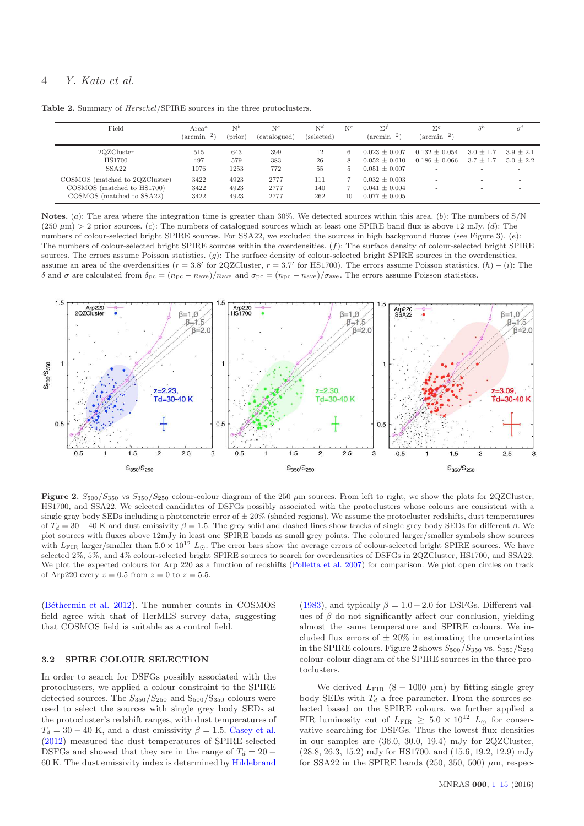Table 2. Summary of  $Herschel/SPIRE$  sources in the three protoclusters.

| Field                                                                                     | Area <sup>a</sup><br>$(\arcsin^{-2})$ | $N^b$<br>$(\text{prior})$ | $N^{c}$<br>(catalogued) | N <sup>d</sup><br>(selected) | $N^e$        | $\Sigma^f$<br>$(\arcsin^{-2})$                              | $\Sigma^g$<br>$(\arcsin^{-2})$         | $\delta^h$                   |                            |
|-------------------------------------------------------------------------------------------|---------------------------------------|---------------------------|-------------------------|------------------------------|--------------|-------------------------------------------------------------|----------------------------------------|------------------------------|----------------------------|
| 2QZCluster<br><b>HS1700</b><br>SSA <sub>22</sub>                                          | 515<br>497<br>1076                    | 643<br>579<br>1253        | 399<br>383<br>772       | 12<br>26<br>55               | 6<br>8<br>h. | $0.023 + 0.007$<br>$0.052 + 0.010$<br>$0.051 \pm 0.007$     | $0.132 \pm 0.054$<br>$0.186 \pm 0.066$ | $3.0 \pm 1.7$<br>$3.7 + 1.7$ | $3.9 + 2.1$<br>$5.0 + 2.2$ |
| COSMOS (matched to 2QZCluster)<br>COSMOS (matched to HS1700)<br>COSMOS (matched to SSA22) | 3422<br>3422<br>3422                  | 4923<br>4923<br>4923      | 2777<br>2777<br>2777    | 111<br>140<br>262            | 10           | $0.032 \pm 0.003$<br>$0.041 \pm 0.004$<br>$0.077 \pm 0.005$ |                                        |                              |                            |

Notes. (a): The area where the integration time is greater than 30%. We detected sources within this area. (b): The numbers of S/N  $(250 \,\mu\text{m})$  > 2 prior sources. (c): The numbers of catalogued sources which at least one SPIRE band flux is above 12 mJy. (d): The numbers of colour-selected bright SPIRE sources. For SSA22, we excluded the sources in high background fluxes (see Figure 3). (e): The numbers of colour-selected bright SPIRE sources within the overdensities.  $(f)$ : The surface density of colour-selected bright SPIRE sources. The errors assume Poisson statistics.  $(g)$ : The surface density of colour-selected bright SPIRE sources in the overdensities, assume an area of the overdensities  $(r = 3.8'$  for 2QZCluster,  $r = 3.7'$  for HS1700). The errors assume Poisson statistics.  $(h) - (i)$ : The δ and σ are calculated from  $\delta_{\rm pc} = (n_{\rm pc} - n_{\rm ave})/n_{\rm ave}$  and  $\sigma_{\rm pc} = (n_{\rm pc} - n_{\rm ave})/ \sigma_{\rm ave}$ . The errors assume Poisson statistics.



Figure 2.  $S_{500}/S_{350}$  vs  $S_{350}/S_{250}$  colour-colour diagram of the 250  $\mu$ m sources. From left to right, we show the plots for 2QZCluster, HS1700, and SSA22. We selected candidates of DSFGs possibly associated with the protoclusters whose colours are consistent with a single gray body SEDs including a photometric error of  $\pm 20\%$  (shaded regions). We assume the protocluster redshifts, dust temperatures of  $T_d = 30 - 40$  K and dust emissivity  $\beta = 1.5$ . The grey solid and dashed lines show tracks of single grey body SEDs for different  $\beta$ . We plot sources with fluxes above 12mJy in least one SPIRE bands as small grey points. The coloured larger/smaller symbols show sources with  $L_{\text{FIR}}$  larger/smaller than  $5.0 \times 10^{12} L_{\odot}$ . The error bars show the average errors of colour-selected bright SPIRE sources. We have selected 2%, 5%, and 4% colour-selected bright SPIRE sources to search for overdensities of DSFGs in 2QZCluster, HS1700, and SSA22. We plot the expected colours for Arp 220 as a function of redshifts [\(Polletta et al. 2007](#page-9-41)) for comparison. We plot open circles on track of Arp220 every  $z = 0.5$  from  $z = 0$  to  $z = 5.5$ .

(Béthermin et al. 2012). The number counts in COSMOS field agree with that of HerMES survey data, suggesting that COSMOS field is suitable as a control field.

#### 3.2 SPIRE COLOUR SELECTION

In order to search for DSFGs possibly associated with the protoclusters, we applied a colour constraint to the SPIRE detected sources. The  $S_{350}/S_{250}$  and  $S_{500}/S_{350}$  colours were used to select the sources with single grey body SEDs at the protocluster's redshift ranges, with dust temperatures of  $T_d = 30 - 40$  K, and a dust emissivity  $\beta = 1.5$ . [Casey et al.](#page-9-42) [\(2012](#page-9-42)) measured the dust temperatures of SPIRE-selected DSFGs and showed that they are in the range of  $T_d = 20 -$ 60 K. The dust emissivity index is determined by [Hildebrand](#page-9-43) [\(1983](#page-9-43)), and typically  $\beta = 1.0 - 2.0$  for DSFGs. Different values of  $\beta$  do not significantly affect our conclusion, yielding almost the same temperature and SPIRE colours. We included flux errors of  $\pm 20\%$  in estimating the uncertainties in the SPIRE colours. Figure 2 shows  $S_{500}/S_{350}$  vs.  $S_{350}/S_{250}$ colour-colour diagram of the SPIRE sources in the three protoclusters.

We derived  $L_{\text{FIR}}$  (8 – 1000  $\mu$ m) by fitting single grey body SEDs with  $T_d$  a free parameter. From the sources selected based on the SPIRE colours, we further applied a FIR luminosity cut of  $L_{\text{FIR}} \geq 5.0 \times 10^{12} L_{\odot}$  for conservative searching for DSFGs. Thus the lowest flux densities in our samples are (36.0, 30.0, 19.4) mJy for 2QZCluster, (28.8, 26.3, 15.2) mJy for HS1700, and (15.6, 19.2, 12.9) mJy for SSA22 in the SPIRE bands (250, 350, 500)  $\mu$ m, respec-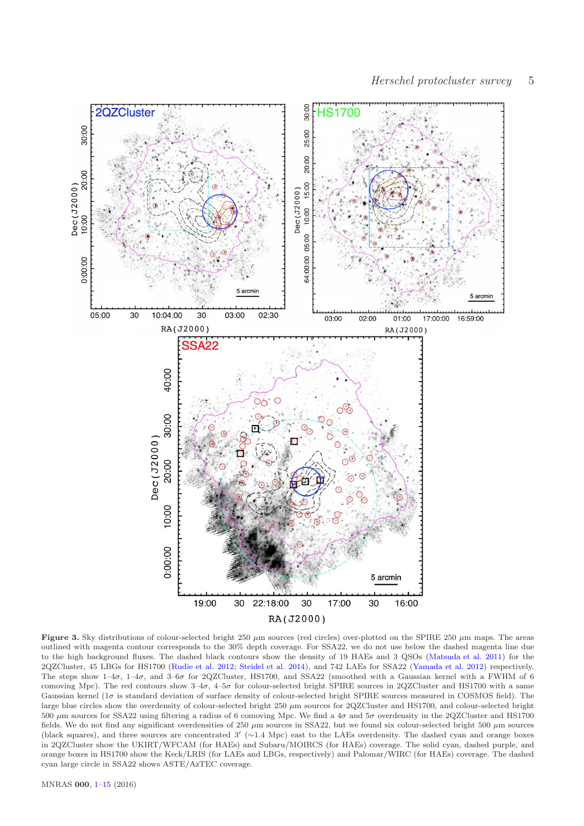

Figure 3. Sky distributions of colour-selected bright 250  $\mu$ m sources (red circles) over-plotted on the SPIRE 250  $\mu$ m maps. The areas outlined with magenta contour corresponds to the 30% depth coverage. For SSA22, we do not use below the dashed magenta line due to the high background fluxes. The dashed black contours show the density of 19 HAEs and 3 QSOs [\(Matsuda et al. 2011](#page-9-28)) for the 2QZCluster, 45 LBGs for HS1700 [\(Rudie et al. 2012](#page-9-44); [Steidel et al. 2014\)](#page-9-45), and 742 LAEs for SSA22 [\(Yamada et al. 2012\)](#page-9-46) respectively. The steps show  $1-4\sigma$ ,  $1-4\sigma$ , and  $3-6\sigma$  for 2QZCluster, HS1700, and SSA22 (smoothed with a Gaussian kernel with a FWHM of 6 comoving Mpc). The red contours show  $3-4\sigma$ ,  $4-5\sigma$  for colour-selected bright SPIRE sources in 2OZCluster and HS1700 with a same Gaussian kernel (1 $\sigma$  is standard deviation of surface density of colour-selected bright SPIRE sources measured in COSMOS field). The large blue circles show the overdensity of colour-selected bright 250  $\mu$ m sources for 2QZCluster and HS1700, and colour-selected bright 500 µm sources for SSA22 using filtering a radius of 6 comoving Mpc. We find a 4σ and 5σ overdensity in the 2QZCluster and HS1700 fields. We do not find any significant overdensities of 250  $\mu$ m sources in SSA22, but we found six colour-selected bright 500  $\mu$ m sources (black squares), and three sources are concentrated 3′ (∼1.4 Mpc) east to the LAEs overdensity. The dashed cyan and orange boxes in 2QZCluster show the UKIRT/WFCAM (for HAEs) and Subaru/MOIRCS (for HAEs) coverage. The solid cyan, dashed purple, and orange boxes in HS1700 show the Keck/LRIS (for LAEs and LBGs, respectively) and Palomar/WIRC (for HAEs) coverage. The dashed cyan large circle in SSA22 shows ASTE/AzTEC coverage.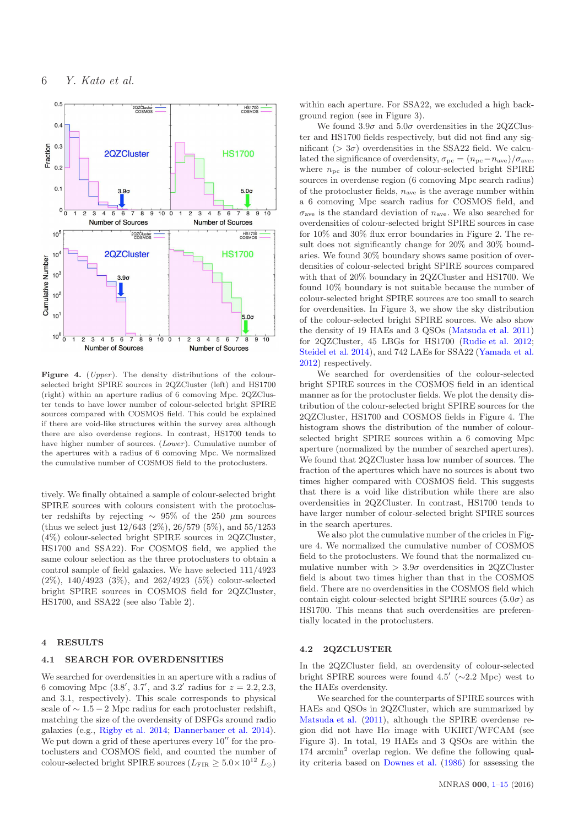

Figure 4. (Upper). The density distributions of the colourselected bright SPIRE sources in 2QZCluster (left) and HS1700 (right) within an aperture radius of 6 comoving Mpc. 2QZCluster tends to have lower number of colour-selected bright SPIRE sources compared with COSMOS field. This could be explained if there are void-like structures within the survey area although there are also overdense regions. In contrast, HS1700 tends to have higher number of sources. (*Lower*). Cumulative number of the apertures with a radius of 6 comoving Mpc. We normalized the cumulative number of COSMOS field to the protoclusters.

tively. We finally obtained a sample of colour-selected bright SPIRE sources with colours consistent with the protocluster redshifts by rejecting  $\sim$  95% of the 250 µm sources (thus we select just 12/643 (2%), 26/579 (5%), and 55/1253 (4%) colour-selected bright SPIRE sources in 2QZCluster, HS1700 and SSA22). For COSMOS field, we applied the same colour selection as the three protoclusters to obtain a control sample of field galaxies. We have selected 111/4923 (2%), 140/4923 (3%), and 262/4923 (5%) colour-selected bright SPIRE sources in COSMOS field for 2QZCluster, HS1700, and SSA22 (see also Table 2).

#### 4 RESULTS

#### 4.1 SEARCH FOR OVERDENSITIES

We searched for overdensities in an aperture with a radius of 6 comoving Mpc  $(3.8', 3.7', 3.7')$  and  $3.2'$  radius for  $z = 2.2, 2.3$ , and 3.1, respectively). This scale corresponds to physical scale of  $\sim 1.5 - 2$  Mpc radius for each protocluster redshift, matching the size of the overdensity of DSFGs around radio galaxies (e.g., [Rigby et al. 2014;](#page-9-19) [Dannerbauer et al. 2014](#page-9-20)). We put down a grid of these apertures every  $10''$  for the protoclusters and COSMOS field, and counted the number of colour-selected bright SPIRE sources ( $L_{\text{FIR}} \geq 5.0 \times 10^{12} L_{\odot}$ ) within each aperture. For SSA22, we excluded a high background region (see in Figure 3).

We found  $3.9\sigma$  and  $5.0\sigma$  overdensities in the 2QZCluster and HS1700 fields respectively, but did not find any significant ( $> 3\sigma$ ) overdensities in the SSA22 field. We calculated the significance of overdensity,  $\sigma_{\text{pc}} = (n_{\text{pc}} - n_{\text{ave}})/\sigma_{\text{ave}}$ , where  $n_{\text{pc}}$  is the number of colour-selected bright SPIRE sources in overdense region (6 comoving Mpc search radius) of the protocluster fields,  $n_{ave}$  is the average number within a 6 comoving Mpc search radius for COSMOS field, and  $\sigma_{\text{ave}}$  is the standard deviation of  $n_{\text{ave}}$ . We also searched for overdensities of colour-selected bright SPIRE sources in case for 10% and 30% flux error boundaries in Figure 2. The result does not significantly change for 20% and 30% boundaries. We found 30% boundary shows same position of overdensities of colour-selected bright SPIRE sources compared with that of 20% boundary in 2QZCluster and HS1700. We found 10% boundary is not suitable because the number of colour-selected bright SPIRE sources are too small to search for overdensities. In Figure 3, we show the sky distribution of the colour-selected bright SPIRE sources. We also show the density of 19 HAEs and 3 QSOs [\(Matsuda et al. 2011](#page-9-28)) for 2QZCluster, 45 LBGs for HS1700 [\(Rudie et al. 2012;](#page-9-44) [Steidel et al. 2014](#page-9-45)), and 742 LAEs for SSA22 [\(Yamada et al.](#page-9-46) [2012](#page-9-46)) respectively.

We searched for overdensities of the colour-selected bright SPIRE sources in the COSMOS field in an identical manner as for the protocluster fields. We plot the density distribution of the colour-selected bright SPIRE sources for the 2QZCluster, HS1700 and COSMOS fields in Figure 4. The histogram shows the distribution of the number of colourselected bright SPIRE sources within a 6 comoving Mpc aperture (normalized by the number of searched apertures). We found that 2QZCluster hasa low number of sources. The fraction of the apertures which have no sources is about two times higher compared with COSMOS field. This suggests that there is a void like distribution while there are also overdensities in 2QZCluster. In contrast, HS1700 tends to have larger number of colour-selected bright SPIRE sources in the search apertures.

We also plot the cumulative number of the cricles in Figure 4. We normalized the cumulative number of COSMOS field to the protoclusters. We found that the normalized cumulative number with  $> 3.9\sigma$  overdensities in 2QZCluster field is about two times higher than that in the COSMOS field. There are no overdensities in the COSMOS field which contain eight colour-selected bright SPIRE sources  $(5.0\sigma)$  as HS1700. This means that such overdensities are preferentially located in the protoclusters.

#### 4.2 2QZCLUSTER

In the 2QZCluster field, an overdensity of colour-selected bright SPIRE sources were found  $4.5'$  ( $\sim$ 2.2 Mpc) west to the HAEs overdensity.

We searched for the counterparts of SPIRE sources with HAEs and QSOs in 2QZCluster, which are summarized by [Matsuda et al.](#page-9-28) [\(2011](#page-9-28)), although the SPIRE overdense region did not have  $H\alpha$  image with UKIRT/WFCAM (see Figure 3). In total, 19 HAEs and 3 QSOs are within the 174 arcmin<sup>2</sup> overlap region. We define the following quality criteria based on [Downes et al.](#page-9-47) [\(1986\)](#page-9-47) for assessing the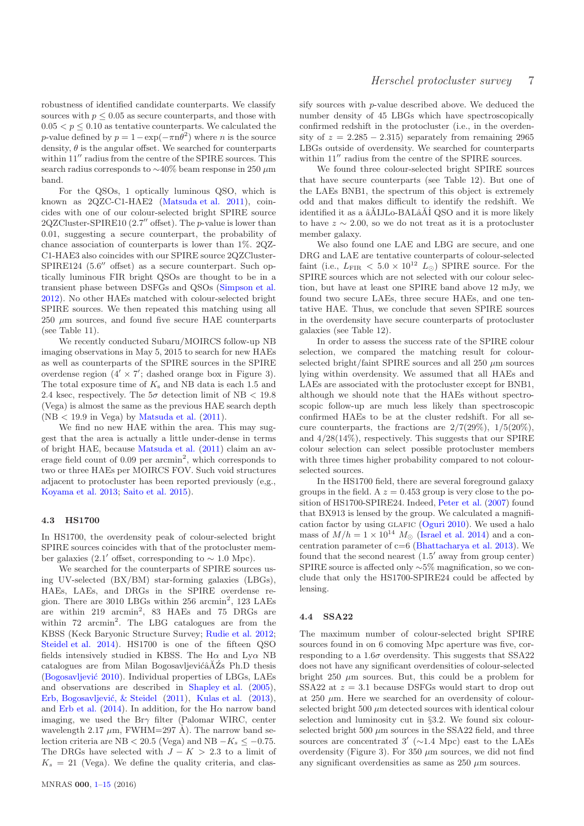robustness of identified candidate counterparts. We classify sources with  $p \leq 0.05$  as secure counterparts, and those with  $0.05 < p \leq 0.10$  as tentative counterparts. We calculated the p-value defined by  $p = 1 - \exp(-\pi n \theta^2)$  where *n* is the source density,  $\theta$  is the angular offset. We searched for counterparts within  $11''$  radius from the centre of the SPIRE sources. This search radius corresponds to  $\sim$ 40% beam response in 250  $\mu$ m band.

For the QSOs, 1 optically luminous QSO, which is known as 2QZC-C1-HAE2 [\(Matsuda et al. 2011](#page-9-28)), coincides with one of our colour-selected bright SPIRE source 2QZCluster-SPIRE10 (2.7′′ offset). The p-value is lower than 0.01, suggesting a secure counterpart, the probability of chance association of counterparts is lower than 1%. 2QZ-C1-HAE3 also coincides with our SPIRE source 2QZCluster-SPIRE124 (5.6′′ offset) as a secure counterpart. Such optically luminous FIR bright QSOs are thought to be in a transient phase between DSFGs and QSOs [\(Simpson et al.](#page-9-48) [2012](#page-9-48)). No other HAEs matched with colour-selected bright SPIRE sources. We then repeated this matching using all  $250 \mu m$  sources, and found five secure HAE counterparts (see Table 11).

We recently conducted Subaru/MOIRCS follow-up NB imaging observations in May 5, 2015 to search for new HAEs as well as counterparts of the SPIRE sources in the SPIRE overdense region  $(4' \times 7')$ ; dashed orange box in Figure 3). The total exposure time of  $K_s$  and NB data is each 1.5 and 2.4 ksec, respectively. The  $5\sigma$  detection limit of NB < 19.8 (Vega) is almost the same as the previous HAE search depth  $(NB < 19.9$  in Vega) by [Matsuda et al.](#page-9-28)  $(2011)$  $(2011)$ .

We find no new HAE within the area. This may suggest that the area is actually a little under-dense in terms of bright HAE, because [Matsuda et al.](#page-9-28) [\(2011](#page-9-28)) claim an average field count of  $0.09$  per arcmin<sup>2</sup>, which corresponds to two or three HAEs per MOIRCS FOV. Such void structures adjacent to protocluster has been reported previously (e,g., [Koyama et al. 2013](#page-9-49); [Saito et al. 2015](#page-9-50)).

#### 4.3 HS1700

In HS1700, the overdensity peak of colour-selected bright SPIRE sources coincides with that of the protocluster member galaxies (2.1′ offset, corresponding to  $\sim 1.0$  Mpc).

We searched for the counterparts of SPIRE sources using UV-selected (BX/BM) star-forming galaxies (LBGs), HAEs, LAEs, and DRGs in the SPIRE overdense region. There are  $3010$  LBGs within  $256$  arcmin<sup>2</sup>,  $123$  LAEs are within 219 arcmin<sup>2</sup>, 83 HAEs and 75 DRGs are within  $72 \text{ arcmin}^2$ . The LBG catalogues are from the KBSS (Keck Baryonic Structure Survey; [Rudie et al. 2012;](#page-9-44) [Steidel et al. 2014](#page-9-45)). HS1700 is one of the fifteen QSO fields intensively studied in KBSS. The H $\alpha$  and Ly $\alpha$  NB catalogues are from Milan Bogosavljević $\tilde{A}Z$ s Ph.D thesis (Bogosavljević 2010). Individual properties of LBGs, LAEs and observations are described in [Shapley et al.](#page-9-51) [\(2005](#page-9-51)), Erb, Bogosavljević, & Steidel [\(2011](#page-9-31)), [Kulas et al.](#page-9-52) [\(2013](#page-9-52)), and [Erb et al.](#page-9-53) [\(2014\)](#page-9-53). In addition, for the H $\alpha$  narrow band imaging, we used the  $Br\gamma$  filter (Palomar WIRC, center wavelength 2.17  $\mu$ m, FWHM=297 Å). The narrow band selection criteria are NB < 20.5 (Vega) and NB  $-K_s \le -0.75$ . The DRGs have selected with  $J - K > 2.3$  to a limit of  $K_s = 21$  (Vega). We define the quality criteria, and classify sources with p-value described above. We deduced the number density of 45 LBGs which have spectroscopically confirmed redshift in the protocluster (i.e., in the overdensity of  $z = 2.285 - 2.315$ ) separately from remaining 2965 LBGs outside of overdensity. We searched for counterparts within  $11''$  radius from the centre of the SPIRE sources.

We found three colour-selected bright SPIRE sources that have secure counterparts (see Table 12). But one of the LAEs BNB1, the spectrum of this object is extremely odd and that makes difficult to identify the redshift. We identified it as a  $\tilde{a}$ AIJLo-BAL $\tilde{a}$ AI QSO and it is more likely to have  $z \sim 2.00$ , so we do not treat as it is a protocluster member galaxy.

We also found one LAE and LBG are secure, and one DRG and LAE are tentative counterparts of colour-selected faint (i.e.,  $L_{\text{FIR}} < 5.0 \times 10^{12} L_{\odot}$ ) SPIRE source. For the SPIRE sources which are not selected with our colour selection, but have at least one SPIRE band above 12 mJy, we found two secure LAEs, three secure HAEs, and one tentative HAE. Thus, we conclude that seven SPIRE sources in the overdensity have secure counterparts of protocluster galaxies (see Table 12).

In order to assess the success rate of the SPIRE colour selection, we compared the matching result for colourselected bright/faint SPIRE sources and all 250  $\mu$ m sources lying within overdensity. We assumed that all HAEs and LAEs are associated with the protocluster except for BNB1, although we should note that the HAEs without spectroscopic follow-up are much less likely than spectroscopic confirmed HAEs to be at the cluster redshift. For all secure counterparts, the fractions are  $2/7(29\%)$ ,  $1/5(20\%)$ , and 4/28(14%), respectively. This suggests that our SPIRE colour selection can select possible protocluster members with three times higher probability compared to not colourselected sources.

In the HS1700 field, there are several foreground galaxy groups in the field. A  $z = 0.453$  group is very close to the position of HS1700-SPIRE24. Indeed, [Peter et al.](#page-9-54) [\(2007](#page-9-54)) found that BX913 is lensed by the group. We calculated a magnifi-cation factor by using GLAFIC [\(Oguri 2010](#page-9-55)). We used a halo mass of  $M/h = 1 \times 10^{14} M_{\odot}$  [\(Israel et al. 2014](#page-9-56)) and a concentration parameter of  $c=6$  [\(Bhattacharya et al. 2013\)](#page-8-3). We found that the second nearest (1.5′ away from group center) SPIRE source is affected only ∼5% magnification, so we conclude that only the HS1700-SPIRE24 could be affected by lensing.

#### 4.4 SSA22

The maximum number of colour-selected bright SPIRE sources found in on 6 comoving Mpc aperture was five, corresponding to a 1.6 $\sigma$  overdensity. This suggests that SSA22 does not have any significant overdensities of colour-selected bright 250  $\mu$ m sources. But, this could be a problem for SSA22 at  $z = 3.1$  because DSFGs would start to drop out at  $250 \mu m$ . Here we searched for an overdensity of colourselected bright  $500 \mu m$  detected sources with identical colour selection and luminosity cut in §3.2. We found six colourselected bright 500  $\mu$ m sources in the SSA22 field, and three sources are concentrated  $3'$  ( $\sim$ 1.4 Mpc) east to the LAEs overdensity (Figure 3). For 350  $\mu$ m sources, we did not find any significant overdensities as same as  $250 \mu m$  sources.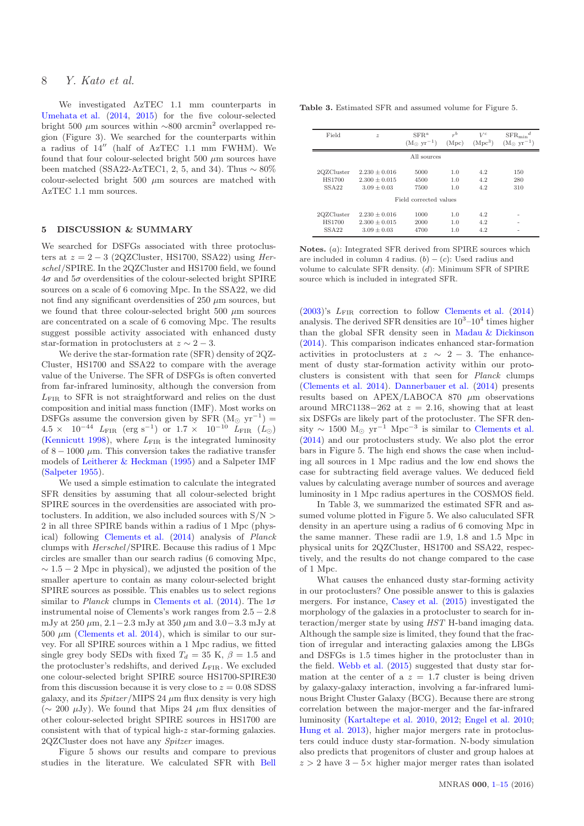We investigated AzTEC 1.1 mm counterparts in [Umehata et al.](#page-9-14) [\(2014](#page-9-14), [2015](#page-9-15)) for the five colour-selected bright 500  $\mu$ m sources within ∼800 arcmin<sup>2</sup> overlapped region (Figure 3). We searched for the counterparts within a radius of 14′′ (half of AzTEC 1.1 mm FWHM). We found that four colour-selected bright 500  $\mu$ m sources have been matched (SSA22-AzTEC1, 2, 5, and 34). Thus  $\sim 80\%$ colour-selected bright  $500 \mu m$  sources are matched with AzTEC 1.1 mm sources.

#### 5 DISCUSSION & SUMMARY

We searched for DSFGs associated with three protoclusters at  $z = 2 - 3$  (2QZCluster, HS1700, SSA22) using Herschel/SPIRE. In the 2QZCluster and HS1700 field, we found  $4\sigma$  and  $5\sigma$  overdensities of the colour-selected bright SPIRE sources on a scale of 6 comoving Mpc. In the SSA22, we did not find any significant overdensities of  $250 \mu m$  sources, but we found that three colour-selected bright 500  $\mu$ m sources are concentrated on a scale of 6 comoving Mpc. The results suggest possible activity associated with enhanced dusty star-formation in protoclusters at  $z \sim 2-3$ .

We derive the star-formation rate (SFR) density of 2QZ-Cluster, HS1700 and SSA22 to compare with the average value of the Universe. The SFR of DSFGs is often converted from far-infrared luminosity, although the conversion from LFIR to SFR is not straightforward and relies on the dust composition and initial mass function (IMF). Most works on DSFGs assume the conversion given by SFR  $(M_{\odot} yr^{-1})$  =  $4.5 \times 10^{-44}$   $L_{\rm FIR}$  (erg s<sup>-1</sup>) or  $1.7 \times 10^{-10}$   $L_{\rm FIR}$  ( $L_{\odot}$ ) [\(Kennicutt 1998](#page-9-57)), where  $L_{\text{FIR}}$  is the integrated luminosity of  $8 - 1000 \mu$ m. This conversion takes the radiative transfer models of [Leitherer & Heckman](#page-9-58) [\(1995](#page-9-58)) and a Salpeter IMF [\(Salpeter 1955](#page-9-59)).

We used a simple estimation to calculate the integrated SFR densities by assuming that all colour-selected bright SPIRE sources in the overdensities are associated with protoclusters. In addition, we also included sources with  $S/N >$ 2 in all three SPIRE bands within a radius of 1 Mpc (physical) following [Clements et al.](#page-9-13) [\(2014\)](#page-9-13) analysis of Planck clumps with Herschel/SPIRE. Because this radius of 1 Mpc circles are smaller than our search radius (6 comoving Mpc,  $\sim$  1.5 − 2 Mpc in physical), we adjusted the position of the smaller aperture to contain as many colour-selected bright SPIRE sources as possible. This enables us to select regions similar to *Planck* clumps in [Clements et al.](#page-9-13) [\(2014\)](#page-9-13). The  $1\sigma$ instrumental noise of Clements's work ranges from 2.5 − 2.8 mJy at 250  $\mu$ m, 2.1−2.3 mJy at 350  $\mu$ m and 3.0−3.3 mJy at 500  $\mu$ m [\(Clements et al. 2014\)](#page-9-13), which is similar to our survey. For all SPIRE sources within a 1 Mpc radius, we fitted single grey body SEDs with fixed  $T_d = 35$  K,  $\beta = 1.5$  and the protocluster's redshifts, and derived  $L_{\text{FIR}}$ . We excluded one colour-selected bright SPIRE source HS1700-SPIRE30 from this discussion because it is very close to  $z = 0.08$  SDSS galaxy, and its  $Spitzer/MIPS 24 \mu m$  flux density is very high (∼ 200 µJy). We found that Mips 24 µm flux densities of other colour-selected bright SPIRE sources in HS1700 are consistent with that of typical high-z star-forming galaxies. 2QZCluster does not have any Spitzer images.

Figure 5 shows our results and compare to previous studies in the literature. We calculated SFR with [Bell](#page-8-4) Table 3. Estimated SFR and assumed volume for Figure 5.

| Field             | $\boldsymbol{z}$ | $SFR^a$<br>$(Mo yr-1)$ | $r^{b}$<br>(Mpc) | $V^c$<br>(Mpc <sup>3</sup> ) | $SFR_{\text{min}}^d$<br>$(M_{\odot} yr^{-1})$ |
|-------------------|------------------|------------------------|------------------|------------------------------|-----------------------------------------------|
|                   |                  | All sources            |                  |                              |                                               |
| 2QZCluster        | $2.230 + 0.016$  | 5000                   | 1.0              | 4.2                          | 150                                           |
| <b>HS1700</b>     | $2.300 + 0.015$  | 4500                   | 1.0              | 4.2                          | 280                                           |
| <b>SSA22</b>      | $3.09 + 0.03$    | 7500                   | 1.0              | 4.2                          | 310                                           |
|                   |                  | Field corrected values |                  |                              |                                               |
| 2QZCluster        | $2.230 + 0.016$  | 1000                   | 1.0              | 4.2                          |                                               |
| <b>HS1700</b>     | $2.300 + 0.015$  | 2000                   | 1.0              | 4.2                          |                                               |
| SSA <sub>22</sub> | $3.09 + 0.03$    | 4700                   | 1.0              | 4.2                          |                                               |

Notes. (a): Integrated SFR derived from SPIRE sources which are included in column 4 radius.  $(b) - (c)$ : Used radius and volume to calculate SFR density. (d): Minimum SFR of SPIRE source which is included in integrated SFR.

 $(2003)$  $(2003)$ 's  $L_{\text{FIR}}$  correction to follow [Clements et al.](#page-9-13)  $(2014)$  $(2014)$ analysis. The derived SFR densities are  $10^3$ – $10^4$  times higher than the global SFR density seen in [Madau & Dickinson](#page-9-60) [\(2014](#page-9-60)). This comparison indicates enhanced star-formation activities in protoclusters at  $z \sim 2 - 3$ . The enhancement of dusty star-formation activity within our protoclusters is consistent with that seen for Planck clumps [\(Clements et al. 2014\)](#page-9-13). [Dannerbauer et al.](#page-9-20) [\(2014\)](#page-9-20) presents results based on APEX/LABOCA 870  $\mu$ m observations around MRC1138−262 at  $z = 2.16$ , showing that at least six DSFGs are likely part of the protocluster. The SFR density  $\sim 1500 \, \text{M}_{\odot} \, \text{yr}^{-1} \, \text{Mpc}^{-3}$  is similar to [Clements et al.](#page-9-13) [\(2014](#page-9-13)) and our protoclusters study. We also plot the error bars in Figure 5. The high end shows the case when including all sources in 1 Mpc radius and the low end shows the case for subtracting field average values. We deduced field values by calculating average number of sources and average luminosity in 1 Mpc radius apertures in the COSMOS field.

In Table 3, we summarized the estimated SFR and assumed volume plotted in Figure 5. We also caluculated SFR density in an aperture using a radius of 6 comoving Mpc in the same manner. These radii are 1.9, 1.8 and 1.5 Mpc in physical units for 2QZCluster, HS1700 and SSA22, respectively, and the results do not change compared to the case of 1 Mpc.

What causes the enhanced dusty star-forming activity in our protoclusters? One possible answer to this is galaxies mergers. For instance, [Casey et al.](#page-9-16) [\(2015](#page-9-16)) investigated the morphology of the galaxies in a protocluster to search for interaction/merger state by using HST H-band imaging data. Although the sample size is limited, they found that the fraction of irregular and interacting galaxies among the LBGs and DSFGs is 1.5 times higher in the protocluster than in the field. [Webb et al.](#page-9-11) [\(2015](#page-9-11)) suggested that dusty star formation at the center of a  $z = 1.7$  cluster is being driven by galaxy-galaxy interaction, involving a far-infrared luminous Bright Cluster Galaxy (BCG). Because there are strong correlation between the major-merger and the far-infrared luminosity [\(Kartaltepe et al. 2010,](#page-9-61) [2012](#page-9-62); [Engel et al. 2010;](#page-9-63) [Hung et al. 2013](#page-9-64)), higher major mergers rate in protoclusters could induce dusty star-formation. N-body simulation also predicts that progenitors of cluster and group haloes at  $z > 2$  have  $3 - 5 \times$  higher major merger rates than isolated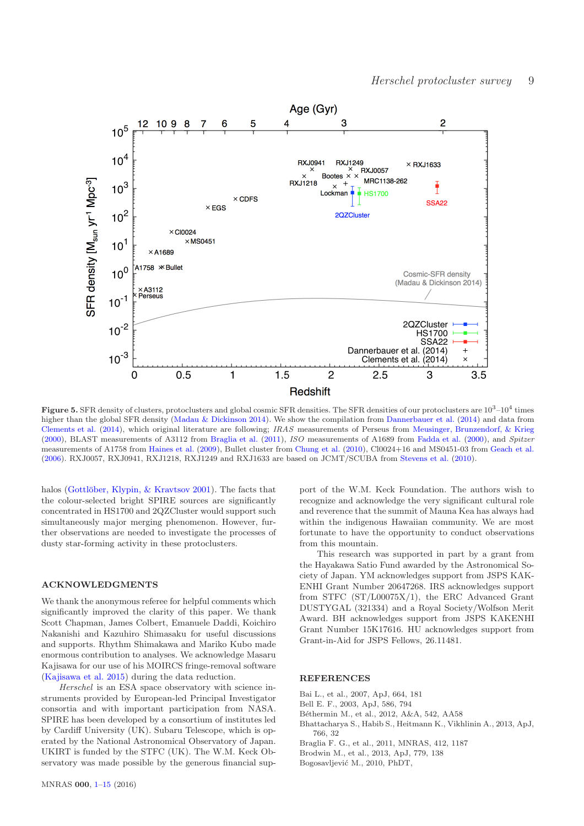

**Figure 5.** SFR density of clusters, protoclusters and global cosmic SFR densities. The SFR densities of our protoclusters are  $10^3$ – $10^4$  times higher than the global SFR density [\(Madau & Dickinson 2014\)](#page-9-60). We show the compilation from [Dannerbauer et al.](#page-9-20) [\(2014](#page-9-20)) and data from [Clements et al.](#page-9-13) [\(2014](#page-9-13)), which original literature are following; IRAS measurements of Perseus from [Meusinger, Brunzendorf, & Krieg](#page-9-65) [\(2000](#page-9-65)), BLAST measurements of A3112 from [Braglia et al.](#page-8-5) [\(2011](#page-8-5)), ISO measurements of A1689 from [Fadda et al.](#page-9-66) [\(2000](#page-9-66)), and Spitzer measurements of A1758 from [Haines et al.](#page-9-67) [\(2009\)](#page-9-67), Bullet cluster from [Chung et al.](#page-9-68) [\(2010](#page-9-68)), Cl0024+16 and MS0451-03 from [Geach et al.](#page-9-69) [\(2006](#page-9-69)). RXJ0057, RXJ0941, RXJ1218, RXJ1249 and RXJ1633 are based on JCMT/SCUBA from [Stevens et al.](#page-9-70) [\(2010](#page-9-70)).

halos (Gottlöber, Klypin, & Kravtsov 2001). The facts that the colour-selected bright SPIRE sources are significantly concentrated in HS1700 and 2QZCluster would support such simultaneously major merging phenomenon. However, further observations are needed to investigate the processes of dusty star-forming activity in these protoclusters.

#### ACKNOWLEDGMENTS

We thank the anonymous referee for helpful comments which significantly improved the clarity of this paper. We thank Scott Chapman, James Colbert, Emanuele Daddi, Koichiro Nakanishi and Kazuhiro Shimasaku for useful discussions and supports. Rhythm Shimakawa and Mariko Kubo made enormous contribution to analyses. We acknowledge Masaru Kajisawa for our use of his MOIRCS fringe-removal software [\(Kajisawa et al. 2015](#page-9-72)) during the data reduction.

Herschel is an ESA space observatory with science instruments provided by European-led Principal Investigator consortia and with important participation from NASA. SPIRE has been developed by a consortium of institutes led by Cardiff University (UK). Subaru Telescope, which is operated by the National Astronomical Observatory of Japan. UKIRT is funded by the STFC (UK). The W.M. Keck Observatory was made possible by the generous financial support of the W.M. Keck Foundation. The authors wish to recognize and acknowledge the very significant cultural role and reverence that the summit of Mauna Kea has always had within the indigenous Hawaiian community. We are most fortunate to have the opportunity to conduct observations from this mountain.

This research was supported in part by a grant from the Hayakawa Satio Fund awarded by the Astronomical Society of Japan. YM acknowledges support from JSPS KAK-ENHI Grant Number 20647268. IRS acknowledges support from STFC (ST/L00075X/1), the ERC Advanced Grant DUSTYGAL (321334) and a Royal Society/Wolfson Merit Award. BH acknowledges support from JSPS KAKENHI Grant Number 15K17616. HU acknowledges support from Grant-in-Aid for JSPS Fellows, 26.11481.

#### **REFERENCES**

- Bai L., et al., 2007, ApJ, 664, 181
- <span id="page-8-4"></span>Bell E. F., 2003, ApJ, 586, 794
- <span id="page-8-1"></span>Béthermin M., et al., 2012, A&A, 542, AA58
- <span id="page-8-3"></span>Bhattacharya S., Habib S., Heitmann K., Vikhlinin A., 2013, ApJ, 766, 32
- <span id="page-8-5"></span>Braglia F. G., et al., 2011, MNRAS, 412, 1187
- <span id="page-8-0"></span>Brodwin M., et al., 2013, ApJ, 779, 138
- <span id="page-8-2"></span>Bogosavljević M., 2010, PhDT,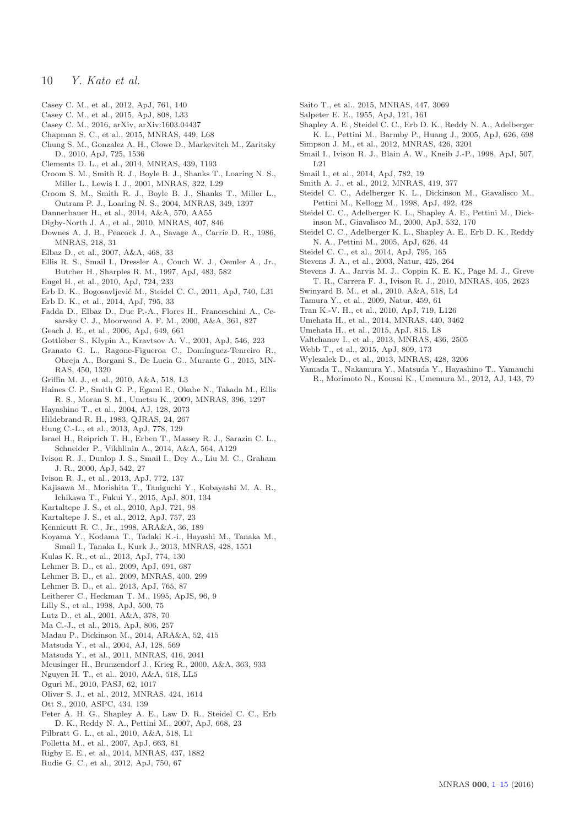- <span id="page-9-42"></span>Casey C. M., et al., 2012, ApJ, 761, 140
- <span id="page-9-16"></span>Casey C. M., et al., 2015, ApJ, 808, L33
- <span id="page-9-8"></span>Casey C. M., 2016, arXiv, arXiv:1603.04437
- Chapman S. C., et al., 2015, MNRAS, 449, L68
- <span id="page-9-68"></span>Chung S. M., Gonzalez A. H., Clowe D., Markevitch M., Zaritsky D., 2010, ApJ, 725, 1536
- <span id="page-9-13"></span>Clements D. L., et al., 2014, MNRAS, 439, 1193
- <span id="page-9-26"></span>Croom S. M., Smith R. J., Boyle B. J., Shanks T., Loaring N. S., Miller L., Lewis I. J., 2001, MNRAS, 322, L29
- <span id="page-9-27"></span>Croom S. M., Smith R. J., Boyle B. J., Shanks T., Miller L., Outram P. J., Loaring N. S., 2004, MNRAS, 349, 1397
- <span id="page-9-20"></span>Dannerbauer H., et al., 2014, A&A, 570, AA55
- <span id="page-9-32"></span>Digby-North J. A., et al., 2010, MNRAS, 407, 846
- <span id="page-9-47"></span>Downes A. J. B., Peacock J. A., Savage A., Carrie D. R., 1986, MNRAS, 218, 31
- <span id="page-9-6"></span>Elbaz D., et al., 2007, A&A, 468, 33
- <span id="page-9-0"></span>Ellis R. S., Smail I., Dressler A., Couch W. J., Oemler A., Jr., Butcher H., Sharples R. M., 1997, ApJ, 483, 582
- <span id="page-9-63"></span>Engel H., et al., 2010, ApJ, 724, 233
- <span id="page-9-31"></span>Erb D. K., Bogosavljević M., Steidel C. C., 2011, ApJ, 740, L31
- <span id="page-9-53"></span>Erb D. K., et al., 2014, ApJ, 795, 33
- <span id="page-9-66"></span>Fadda D., Elbaz D., Duc P.-A., Flores H., Franceschini A., Cesarsky C. J., Moorwood A. F. M., 2000, A&A, 361, 827
- <span id="page-9-69"></span>Geach J. E., et al., 2006, ApJ, 649, 661
- <span id="page-9-71"></span>Gottlöber S., Klypin A., Kravtsov A. V., 2001, ApJ, 546, 223
- <span id="page-9-5"></span>Granato G. L., Ragone-Figueroa C., Domínguez-Tenreiro R., Obreja A., Borgani S., De Lucia G., Murante G., 2015, MN-RAS, 450, 1320
- <span id="page-9-22"></span>Griffin M. J., et al., 2010, A&A, 518, L3
- <span id="page-9-67"></span>Haines C. P., Smith G. P., Egami E., Okabe N., Takada M., Ellis R. S., Moran S. M., Umetsu K., 2009, MNRAS, 396, 1297
- <span id="page-9-35"></span>Hayashino T., et al., 2004, AJ, 128, 2073
- <span id="page-9-43"></span>Hildebrand R. H., 1983, QJRAS, 24, 267
- <span id="page-9-64"></span>Hung C.-L., et al., 2013, ApJ, 778, 129
- <span id="page-9-56"></span>Israel H., Reiprich T. H., Erben T., Massey R. J., Sarazin C. L., Schneider P., Vikhlinin A., 2014, A&A, 564, A129
- <span id="page-9-21"></span>Ivison R. J., Dunlop J. S., Smail I., Dey A., Liu M. C., Graham J. R., 2000, ApJ, 542, 27
- <span id="page-9-4"></span>Ivison R. J., et al., 2013, ApJ, 772, 137
- <span id="page-9-72"></span>Kajisawa M., Morishita T., Taniguchi Y., Kobayashi M. A. R., Ichikawa T., Fukui Y., 2015, ApJ, 801, 134
- <span id="page-9-61"></span>Kartaltepe J. S., et al., 2010, ApJ, 721, 98
- <span id="page-9-62"></span>Kartaltepe J. S., et al., 2012, ApJ, 757, 23
- <span id="page-9-57"></span>Kennicutt R. C., Jr., 1998, ARA&A, 36, 189
- <span id="page-9-49"></span>Koyama Y., Kodama T., Tadaki K.-i., Hayashi M., Tanaka M., Smail I., Tanaka I., Kurk J., 2013, MNRAS, 428, 1551
- <span id="page-9-52"></span>Kulas K. R., et al., 2013, ApJ, 774, 130
- <span id="page-9-37"></span>Lehmer B. D., et al., 2009, ApJ, 691, 687
- <span id="page-9-38"></span>Lehmer B. D., et al., 2009, MNRAS, 400, 299
- <span id="page-9-29"></span>Lehmer B. D., et al., 2013, ApJ, 765, 87
- <span id="page-9-58"></span>Leitherer C., Heckman T. M., 1995, ApJS, 96, 9
- <span id="page-9-1"></span>Lilly S., et al., 1998, ApJ, 500, 75
- <span id="page-9-3"></span>Lutz D., et al., 2001, A&A, 378, 70
- <span id="page-9-10"></span>Ma C.-J., et al., 2015, ApJ, 806, 257
- <span id="page-9-60"></span>Madau P., Dickinson M., 2014, ARA&A, 52, 415
- <span id="page-9-36"></span>Matsuda Y., et al., 2004, AJ, 128, 569
- <span id="page-9-28"></span>Matsuda Y., et al., 2011, MNRAS, 416, 2041
- <span id="page-9-65"></span>Meusinger H., Brunzendorf J., Krieg R., 2000, A&A, 363, 933
- <span id="page-9-25"></span>Nguyen H. T., et al., 2010, A&A, 518, LL5
- <span id="page-9-55"></span>Oguri M., 2010, PASJ, 62, 1017
- <span id="page-9-39"></span>Oliver S. J., et al., 2012, MNRAS, 424, 1614
- Ott S., 2010, ASPC, 434, 139
- <span id="page-9-54"></span>Peter A. H. G., Shapley A. E., Law D. R., Steidel C. C., Erb D. K., Reddy N. A., Pettini M., 2007, ApJ, 668, 23
- <span id="page-9-23"></span>Pilbratt G. L., et al., 2010, A&A, 518, L1
- <span id="page-9-41"></span>Polletta M., et al., 2007, ApJ, 663, 81
- <span id="page-9-19"></span>Rigby E. E., et al., 2014, MNRAS, 437, 1882
- <span id="page-9-44"></span>Rudie G. C., et al., 2012, ApJ, 750, 67
- <span id="page-9-74"></span><span id="page-9-73"></span><span id="page-9-50"></span>Saito T., et al., 2015, MNRAS, 447, 3069
- <span id="page-9-59"></span>Salpeter E. E., 1955, ApJ, 121, 161
- <span id="page-9-51"></span>Shapley A. E., Steidel C. C., Erb D. K., Reddy N. A., Adelberger K. L., Pettini M., Barmby P., Huang J., 2005, ApJ, 626, 698 Simpson J. M., et al., 2012, MNRAS, 426, 3201
- <span id="page-9-48"></span>
- <span id="page-9-2"></span>Smail I., Ivison R. J., Blain A. W., Kneib J.-P., 1998, ApJ, 507, L21
- <span id="page-9-9"></span>Smail I., et al., 2014, ApJ, 782, 19
- <span id="page-9-40"></span>Smith A. J., et al., 2012, MNRAS, 419, 377
- <span id="page-9-33"></span>Steidel C. C., Adelberger K. L., Dickinson M., Giavalisco M., Pettini M., Kellogg M., 1998, ApJ, 492, 428
- <span id="page-9-34"></span>Steidel C. C., Adelberger K. L., Shapley A. E., Pettini M., Dickinson M., Giavalisco M., 2000, ApJ, 532, 170
- <span id="page-9-30"></span>Steidel C. C., Adelberger K. L., Shapley A. E., Erb D. K., Reddy N. A., Pettini M., 2005, ApJ, 626, 44
- <span id="page-9-45"></span>Steidel C. C., et al., 2014, ApJ, 795, 165
- <span id="page-9-17"></span>Stevens J. A., et al., 2003, Natur, 425, 264
- <span id="page-9-70"></span>Stevens J. A., Jarvis M. J., Coppin K. E. K., Page M. J., Greve T. R., Carrera F. J., Ivison R. J., 2010, MNRAS, 405, 2623
- <span id="page-9-24"></span>Swinyard B. M., et al., 2010, A&A, 518, L4
- <span id="page-9-12"></span>Tamura Y., et al., 2009, Natur, 459, 61
- <span id="page-9-7"></span>Tran K.-V. H., et al., 2010, ApJ, 719, L126
- <span id="page-9-14"></span>Umehata H., et al., 2014, MNRAS, 440, 3462
- <span id="page-9-15"></span>Umehata H., et al., 2015, ApJ, 815, L8
- <span id="page-9-18"></span>Valtchanov I., et al., 2013, MNRAS, 436, 2505
- <span id="page-9-11"></span>Webb T., et al., 2015, ApJ, 809, 173
- Wylezalek D., et al., 2013, MNRAS, 428, 3206
- <span id="page-9-46"></span>Yamada T., Nakamura Y., Matsuda Y., Hayashino T., Yamauchi R., Morimoto N., Kousai K., Umemura M., 2012, AJ, 143, 79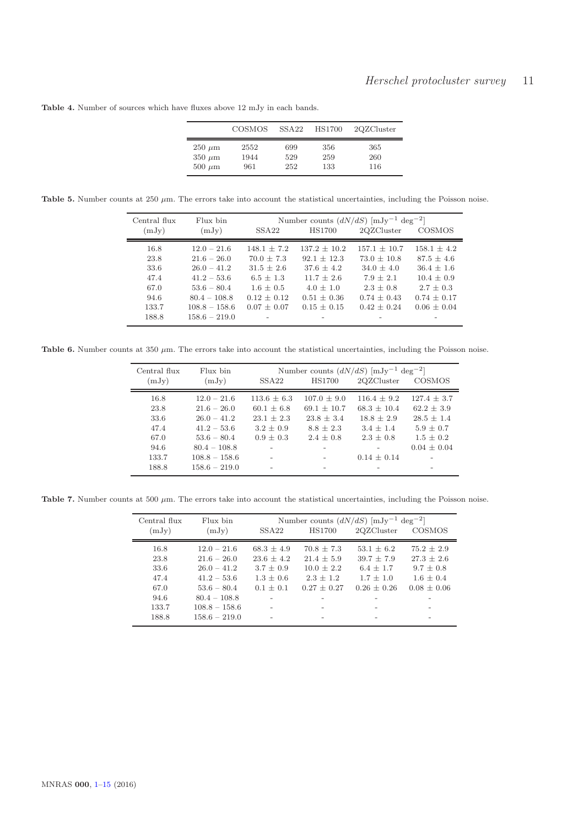Table 4. Number of sources which have fluxes above 12 mJy in each bands.

|             | COSMOS | SSA22 | <b>HS1700</b> | 2QZCluster |
|-------------|--------|-------|---------------|------------|
| $250 \mu m$ | 2552   | 699   | 356           | 365        |
| $350 \mu m$ | 1944   | 529   | 259           | 260        |
| $500 \mu m$ | 961    | 252   | 133           | 116        |

Table 5. Number counts at 250  $\mu$ m. The errors take into account the statistical uncertainties, including the Poisson noise.

| Central flux | Flux bin        |                   |                  | Number counts $(dN/dS)$ [mJy <sup>-1</sup> deg <sup>-2</sup> ] |                 |
|--------------|-----------------|-------------------|------------------|----------------------------------------------------------------|-----------------|
| (mJy)        | (mJy)           | SSA <sub>22</sub> | <b>HS1700</b>    | 2QZCluster                                                     | COSMOS          |
| 16.8         | $12.0 - 21.6$   | $148.1 + 7.2$     | $137.2 \pm 10.2$ | $157.1 + 10.7$                                                 | $158.1 \pm 4.2$ |
| 23.8         | $21.6 - 26.0$   | $70.0 + 7.3$      | $92.1 + 12.3$    | $73.0 + 10.8$                                                  | $87.5 + 4.6$    |
| 33.6         | $26.0 - 41.2$   | $31.5 + 2.6$      | $37.6 + 4.2$     | $34.0 + 4.0$                                                   | $36.4 + 1.6$    |
| 47.4         | $41.2 - 53.6$   | $6.5 + 1.3$       | $11.7 + 2.6$     | $7.9 + 2.1$                                                    | $10.4 + 0.9$    |
| 67.0         | $53.6 - 80.4$   | $1.6 + 0.5$       | $4.0 + 1.0$      | $2.3 + 0.8$                                                    | $2.7 + 0.3$     |
| 94.6         | $80.4 - 108.8$  | $0.12 + 0.12$     | $0.51 + 0.36$    | $0.74 \pm 0.43$                                                | $0.74 + 0.17$   |
| 133.7        | $108.8 - 158.6$ | $0.07 + 0.07$     | $0.15 + 0.15$    | $0.42 + 0.24$                                                  | $0.06 + 0.04$   |
| 188.8        | $158.6 - 219.0$ |                   |                  |                                                                |                 |

Table 6. Number counts at 350  $\mu$ m. The errors take into account the statistical uncertainties, including the Poisson noise.

| Central flux<br>(mJy) | Flux bin<br>(mJy) | SSA <sub>22</sub> | <b>HS1700</b>   | Number counts $(dN/dS)$ [mJy <sup>-1</sup> deg <sup>-2</sup> ]<br>2QZCluster | COSMOS         |
|-----------------------|-------------------|-------------------|-----------------|------------------------------------------------------------------------------|----------------|
| 16.8                  | $12.0 - 21.6$     | $113.6 + 6.3$     | $107.0 + 9.0$   | $116.4 + 9.2$                                                                | $127.4 + 3.7$  |
| 23.8                  | $21.6 - 26.0$     | $60.1 \pm 6.8$    | $69.1 \pm 10.7$ | $68.3 + 10.4$                                                                | $62.2 \pm 3.9$ |
| 33.6                  | $26.0 - 41.2$     | $23.1 + 2.3$      | $23.8 + 3.4$    | $18.8 + 2.9$                                                                 | $28.5 + 1.4$   |
| 47.4                  | $41.2 - 53.6$     | $3.2 + 0.9$       | $8.8 + 2.3$     | $3.4 + 1.4$                                                                  | $5.9 + 0.7$    |
| 67.0                  | $53.6 - 80.4$     | $0.9 + 0.3$       | $2.4 + 0.8$     | $2.3 + 0.8$                                                                  | $1.5 + 0.2$    |
| 94.6                  | $80.4 - 108.8$    |                   |                 |                                                                              | $0.04 + 0.04$  |
| 133.7                 | $108.8 - 158.6$   |                   |                 | $0.14 + 0.14$                                                                |                |
| 188.8                 | $158.6 - 219.0$   |                   |                 |                                                                              |                |

Table 7. Number counts at 500  $\mu$ m. The errors take into account the statistical uncertainties, including the Poisson noise.

| Central flux | Flux bin        |                   |               | Number counts $(dN/dS)$ [mJy <sup>-1</sup> deg <sup>-2</sup> ] |               |
|--------------|-----------------|-------------------|---------------|----------------------------------------------------------------|---------------|
| (mJy)        | (mJy)           | SSA <sub>22</sub> | <b>HS1700</b> | 2QZCluster                                                     | COSMOS        |
| 16.8         | $12.0 - 21.6$   | $68.3 + 4.9$      | $70.8 + 7.3$  | $53.1 + 6.2$                                                   | $75.2 + 2.9$  |
| 23.8         | $21.6 - 26.0$   | $23.6 + 4.2$      | $21.4 + 5.9$  | $39.7 + 7.9$                                                   | $27.3 + 2.6$  |
| 33.6         | $26.0 - 41.2$   | $3.7 + 0.9$       | $10.0 + 2.2$  | $6.4 + 1.7$                                                    | $9.7 + 0.8$   |
| 47.4         | $41.2 - 53.6$   | $1.3 + 0.6$       | $2.3 + 1.2$   | $1.7 + 1.0$                                                    | $1.6 + 0.4$   |
| 67.0         | $53.6 - 80.4$   | $0.1 + 0.1$       | $0.27 + 0.27$ | $0.26 + 0.26$                                                  | $0.08 + 0.06$ |
| 94.6         | $80.4 - 108.8$  |                   |               |                                                                |               |
| 133.7        | $108.8 - 158.6$ |                   |               |                                                                |               |
| 188.8        | $158.6 - 219.0$ |                   |               |                                                                |               |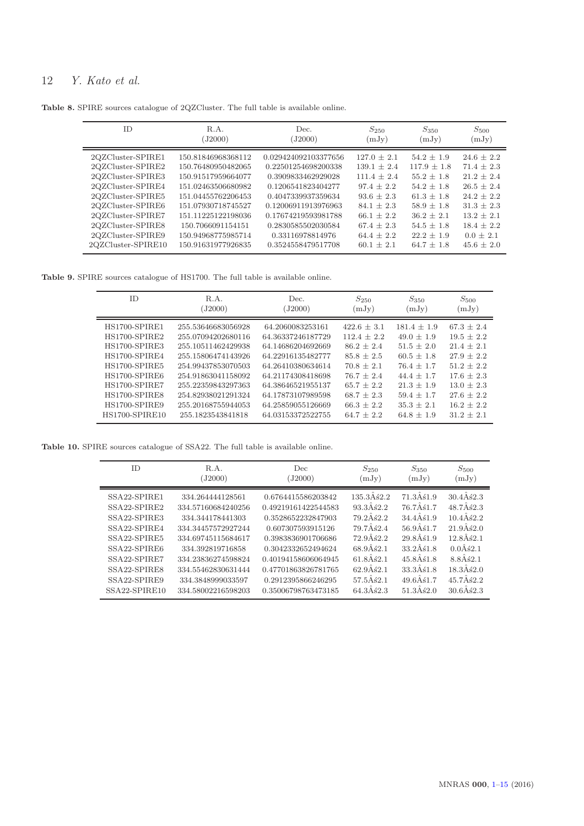Table 8. SPIRE sources catalogue of 2QZCluster. The full table is available online.

| 2QZCluster-SPIRE1<br>$54.2 \pm 1.9$<br>0.029424092103377656<br>$127.0 + 2.1$<br>150.81846968368112<br>2QZCluster-SPIRE2<br>150.76480950482065<br>0.22501254698200338<br>$117.9 \pm 1.8$<br>$139.1 \pm 2.4$<br>2QZCluster-SPIRE3<br>$111.4 + 2.4$<br>150.91517959664077<br>0.3909833462929028<br>$55.2 + 1.8$<br>2QZCluster-SPIRE4<br>$97.4 + 2.2$<br>$54.2 + 1.8$<br>151.02463506680982<br>0.1206541823404277<br>2QZCluster-SPIRE5<br>151.04455762206453<br>0.4047339937359634<br>$93.6 + 2.3$<br>$61.3 \pm 1.8$<br>2QZCluster-SPIRE6<br>$84.1 + 2.3$<br>$58.9 + 1.8$<br>151.07930718745527<br>0.12006911913976963 | <b>ID</b>         | R.A.<br>(J2000)    | Dec.<br>(J2000)     | $S_{250}$<br>(mJy) | S <sub>350</sub><br>(mJy) | $S_{500}$<br>(mJy)                                                                                                                            |
|--------------------------------------------------------------------------------------------------------------------------------------------------------------------------------------------------------------------------------------------------------------------------------------------------------------------------------------------------------------------------------------------------------------------------------------------------------------------------------------------------------------------------------------------------------------------------------------------------------------------|-------------------|--------------------|---------------------|--------------------|---------------------------|-----------------------------------------------------------------------------------------------------------------------------------------------|
| 2QZCluster-SPIRE8<br>150.7066091154151<br>0.2830585502030584<br>$67.4 \pm 2.3$<br>$54.5 \pm 1.8$<br>2QZCluster-SPIRE9<br>$64.4 + 2.2$<br>$22.2 + 1.9$<br>150.94968775985714<br>0.33116978814976                                                                                                                                                                                                                                                                                                                                                                                                                    | 2QZCluster-SPIRE7 | 151.11225122198036 | 0.17674219593981788 | $66.1 + 2.2$       | $36.2 + 2.1$              | $24.6 + 2.2$<br>$71.4 + 2.3$<br>$21.2 + 2.4$<br>$26.5 + 2.4$<br>$24.2 + 2.2$<br>$31.3 + 2.3$<br>$13.2 + 2.1$<br>$18.4 \pm 2.2$<br>$0.0 + 2.1$ |

Table 9. SPIRE sources catalogue of HS1700. The full table is available online.

| <b>ID</b>             | R.A.               | Dec.              | $S_{250}$     | $S_{350}$     | $S_{500}$      |
|-----------------------|--------------------|-------------------|---------------|---------------|----------------|
|                       | (J2000)            | (J2000)           | (mJy)         | (mJy)         | (mJy)          |
| HS1700-SPIRE1         | 255.53646683056928 | 64.2060083253161  | $422.6 + 3.1$ | $181.4 + 1.9$ | $67.3 + 2.4$   |
| HS1700-SPIRE2         | 255.07094202680116 | 64.36337246187729 | $112.4 + 2.2$ | $49.0 + 1.9$  | $19.5 \pm 2.2$ |
| HS1700-SPIRE3         | 255.10511462429938 | 64.14686204692669 | $86.2 + 2.4$  | $51.5 + 2.0$  | $21.4 + 2.1$   |
| HS1700-SPIRE4         | 255.15806474143926 | 64.22916135482777 | $85.8 + 2.5$  | $60.5 + 1.8$  | $27.9 + 2.2$   |
| HS1700-SPIRE5         | 254.99437853070503 | 64.26410380634614 | $70.8 + 2.1$  | $76.4 + 1.7$  | $51.2 + 2.2$   |
| HS1700-SPIRE6         | 254.91863041158092 | 64.21174308418698 | $76.7 + 2.4$  | $44.4 + 1.7$  | $17.6 + 2.3$   |
| HS1700-SPIRE7         | 255.22359843297363 | 64.38646521955137 | $65.7 + 2.2$  | $21.3 + 1.9$  | $13.0 + 2.3$   |
| HS1700-SPIRE8         | 254.82938021291324 | 64.17873107989598 | $68.7 + 2.3$  | $59.4 + 1.7$  | $27.6 + 2.2$   |
| HS1700-SPIRE9         | 255.20168755944053 | 64.25859055126669 | $66.3 + 2.2$  | $35.3 + 2.1$  | $16.2 + 2.2$   |
| <b>HS1700-SPIRE10</b> | 255.1823543841818  | 64.03153372522755 | $64.7 + 2.2$  | $64.8 + 1.9$  | $31.2 + 2.1$   |

Table 10. SPIRE sources catalogue of SSA22. The full table is available online.

| <b>ID</b>     | R.A.<br>(J2000)    | Dec.<br>(J2000)     | $S_{250}$<br>(mJy)  | $S_{350}$<br>(mJy)  | $S_{500}$<br>(mJy) |
|---------------|--------------------|---------------------|---------------------|---------------------|--------------------|
| SSA22-SPIRE1  | 334.264444128561   | 0.6764415586203842  | $135.3\AA\&2.2$     | $71.3\hat{A}\$1.9$  | $30.4\AA$ ś2.3     |
| SSA22-SPIRE2  | 334.57160684240256 | 0.49219161422544583 | $93.3\AA\&2.2$      | $76.7\hat{A}$ \$1.7 | $48.7\AA\&2.3$     |
| SSA22-SPIRE3  | 334.344178441303   | 0.3528652232847903  | $79.2\AA$ ś2.2      | $34.4\AA\&1.9$      | $10.4\AA$ \$2.2    |
| SSA22-SPIRE4  | 334.34457572927244 | 0.607307593915126   | $79.7\hat{A}\,62.4$ | $56.9\hat{A}51.7$   | $21.9\AA\&2.0$     |
| SSA22-SPIRE5  | 334.69745115684617 | 0.3983836901706686  | $72.9\AA\&2.2$      | $29.8\hat{A}51.9$   | $12.8\AA$ \$2.1    |
| SSA22-SPIRE6  | 334.392819716858   | 0.3042332652494624  | $68.9\AA\&2.1$      | $33.2\AA\&1.8$      | 0.0462.1           |
| SSA22-SPIRE7  | 334.23836274598824 | 0.40194158606064945 | $61.8\AA\&2.1$      | $45.8\AA\&1.8$      | $8.8\AA$ \$2.1     |
| SSA22-SPIRE8  | 334.55462830631444 | 0.47701863826781765 | $62.9\AA\&2.1$      | $33.3\AA\&1.8$      | $18.3\AA\&2.0$     |
| SSA22-SPIRE9  | 334.3848999033597  | 0.2912395866246295  | $57.5\hat{A}$ \$2.1 | $49.6\hat{A}51.7$   | $45.7\AA$ \$2.2    |
| SSA22-SPIRE10 | 334.58002216598203 | 0.35006798763473185 | $64.3\AA\&2.3$      | $51.3\AA\&2.0$      | $30.6\AA\&2.3$     |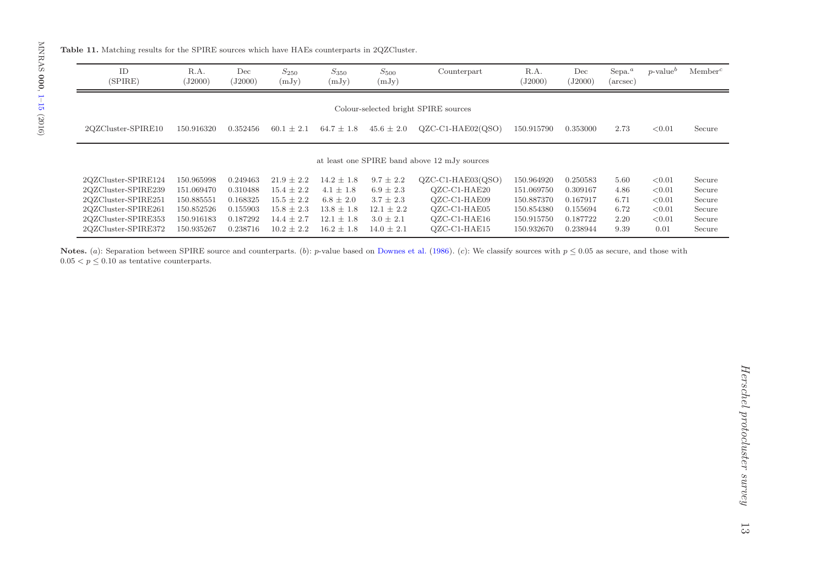$2QZCluster-SPIRE353 150.916183$ <br> $2QZCluster-SPIRE372 150.935267$ 

2QZCluster-SPIRE372

| ID<br>(SPIRE)                                                                                                   | R.A.<br>(J2000)                                                    | Dec<br>(J2000)                                           | $S_{250}$<br>(mJy)                                                                     | $S_{350}$<br>(mJy)                                                                   | $S_{500}$<br>(mJy)                                                                 | Counterpart                                                                                | R.A.<br>(J2000)                                                    | Dec<br>(J2000)                                           | $\text{Sepa.}^a$<br>$(\text{arcsec})$ | $p$ -value <sup>b</sup>                        | Member <sup>c</sup>                            |
|-----------------------------------------------------------------------------------------------------------------|--------------------------------------------------------------------|----------------------------------------------------------|----------------------------------------------------------------------------------------|--------------------------------------------------------------------------------------|------------------------------------------------------------------------------------|--------------------------------------------------------------------------------------------|--------------------------------------------------------------------|----------------------------------------------------------|---------------------------------------|------------------------------------------------|------------------------------------------------|
|                                                                                                                 |                                                                    |                                                          |                                                                                        |                                                                                      |                                                                                    | Colour-selected bright SPIRE sources                                                       |                                                                    |                                                          |                                       |                                                |                                                |
| 2QZCluster-SPIRE10                                                                                              | 150.916320                                                         | 0.352456                                                 | $60.1 \pm 2.1$                                                                         | $64.7 \pm 1.8$                                                                       | $45.6 \pm 2.0$                                                                     | $QZC-C1-HA E02(QSO)$                                                                       | 150.915790                                                         | 0.353000                                                 | 2.73                                  | < 0.01                                         | Secure                                         |
|                                                                                                                 |                                                                    |                                                          |                                                                                        |                                                                                      |                                                                                    | at least one SPIRE band above 12 mJy sources                                               |                                                                    |                                                          |                                       |                                                |                                                |
| 2QZCluster-SPIRE124<br>2QZCluster-SPIRE239<br>2QZCluster-SPIRE251<br>2QZCluster-SPIRE261<br>2QZCluster-SPIRE353 | 150.965998<br>151.069470<br>150.885551<br>150.852526<br>150.916183 | 0.249463<br>0.310488<br>0.168325<br>0.155903<br>0.187292 | $21.9 \pm 2.2$<br>$15.4 \pm 2.2$<br>$15.5 \pm 2.2$<br>$15.8 \pm 2.3$<br>$14.4 \pm 2.7$ | $14.2 \pm 1.8$<br>$4.1 \pm 1.8$<br>$6.8 \pm 2.0$<br>$13.8 \pm 1.8$<br>$12.1 \pm 1.8$ | $9.7 \pm 2.2$<br>$6.9 \pm 2.3$<br>$3.7 \pm 2.3$<br>$12.1 \pm 2.2$<br>$3.0 \pm 2.1$ | $QZC-C1-HA E03(QSO)$<br>QZC-C1-HAE20<br>$OZC-C1-HA E09$<br>$QZC-C1-HA E05$<br>QZC-C1-HAE16 | 150.964920<br>151.069750<br>150.887370<br>150.854380<br>150.915750 | 0.250583<br>0.309167<br>0.167917<br>0.155694<br>0.187722 | 5.60<br>4.86<br>6.71<br>6.72<br>2.20  | < 0.01<br>< 0.01<br>< 0.01<br>< 0.01<br>< 0.01 | Secure<br>Secure<br>Secure<br>Secure<br>Secure |

 $\pm$  2.7 12.1  $\pm$  1.8 3.0  $\pm$  2.1 QZC-C1-HAE16 150.915750 0.187722 2.20 <0.01 Secure

 $2 \pm 2.2$   $16.2 \pm 1.8$   $14.0 \pm 2.1$  QZC-C1-HAE15  $150.932670$   $0.238944$   $9.39$   $0.01$  Secure

Notes. (a): Separation between SPIRE source and counterparts. (b): p-value based on [Downes](#page-9-73) et al. [\(1986](#page-9-73)). (c): We classify sources with  $p \le 0.05$  as secure, and those with  $p \le 0.05$  as secure, and those with  $0.05 < p \leq 0.10$  as tentative counterparts.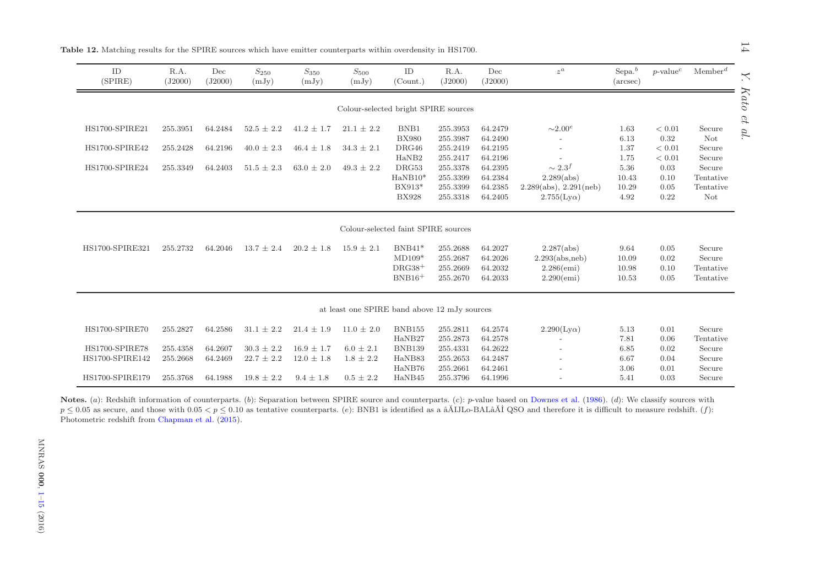| ID<br>(SPIRE)                     | R.A.<br>(J2000) | Dec<br>(J2000) | $\mathcal{S}_{250}$<br>(mJy) | $S_{350}$<br>(mJy) | $S_{500}$<br>(mJy)                           | ID<br>(Count.)           | R.A.<br>(J2000)      | Dec<br>(J2000)     | $z^a$                                            | $Sepa.^b$<br>$(\text{arcsec})$ | $p$ -value <sup><math>c</math></sup> | $M$ ember <sup><math>d</math></sup> |
|-----------------------------------|-----------------|----------------|------------------------------|--------------------|----------------------------------------------|--------------------------|----------------------|--------------------|--------------------------------------------------|--------------------------------|--------------------------------------|-------------------------------------|
|                                   |                 |                |                              |                    | Colour-selected bright SPIRE sources         |                          |                      |                    |                                                  |                                |                                      |                                     |
| HS1700-SPIRE21                    | 255.3951        | 64.2484        | $52.5 \pm 2.2$               | $41.2 \pm 1.7$     | $21.1 \pm 2.2$                               | BNB1                     | 255.3953             | 64.2479            | ${\sim}2.00^e$                                   | 1.63                           | < 0.01                               | Secure                              |
|                                   |                 |                |                              |                    |                                              | <b>BX980</b>             | 255.3987             | 64.2490            |                                                  | 6.13                           | 0.32                                 | Not                                 |
| HS1700-SPIRE42                    | 255.2428        | 64.2196        | $40.0 \pm 2.3$               | $46.4 \pm 1.8$     | $34.3 \pm 2.1$                               | DRG46                    | 255.2419             | 64.2195            |                                                  | 1.37                           | < 0.01                               | Secure                              |
|                                   |                 |                |                              |                    |                                              | HaNB2                    | 255.2417             | 64.2196            | $\overline{\phantom{a}}$                         | 1.75                           | < 0.01                               | Secure                              |
| HS1700-SPIRE24                    | 255.3349        | 64.2403        | $51.5 \pm 2.3$               | $63.0 \pm 2.0$     | $49.3 \pm 2.2$                               | DRG53                    | 255.3378             | 64.2395            | $\sim 2.3^{f}$                                   | 5.36                           | 0.03                                 | Secure                              |
|                                   |                 |                |                              |                    |                                              | $HaNB10*$                | 255.3399             | 64.2384            | 2.289(abs)                                       | 10.43                          | 0.10                                 | Tentative                           |
|                                   |                 |                |                              |                    |                                              | $BX913*$<br><b>BX928</b> | 255.3399<br>255.3318 | 64.2385<br>64.2405 | 2.289(abs), 2.291(neb)<br>$2.755$ (Ly $\alpha$ ) | 10.29<br>4.92                  | 0.05<br>0.22                         | Tentative<br>Not                    |
|                                   |                 |                |                              |                    | Colour-selected faint SPIRE sources          |                          |                      |                    |                                                  |                                |                                      |                                     |
| HS1700-SPIRE321                   | 255.2732        | 64.2046        | $13.7 \pm 2.4$               | $20.2 \pm 1.8$     | $15.9 \pm 2.1$                               | $BNB41*$                 | 255.2688             | 64.2027            | 2.287(abs)                                       | 9.64                           | 0.05                                 | Secure                              |
|                                   |                 |                |                              |                    |                                              | $MD109*$                 | 255.2687             | 64.2026            | 2.293(abs, neb)                                  | 10.09                          | 0.02                                 | Secure                              |
|                                   |                 |                |                              |                    |                                              | $DRG38+$                 | 255.2669             | 64.2032            | $2.286$ (emi)                                    | 10.98                          | 0.10                                 | Tentative                           |
|                                   |                 |                |                              |                    |                                              | $BNB16+$                 | 255.2670             | 64.2033            | $2.290$ (emi)                                    | 10.53                          | 0.05                                 | Tentative                           |
|                                   |                 |                |                              |                    | at least one SPIRE band above 12 mJy sources |                          |                      |                    |                                                  |                                |                                      |                                     |
| HS1700-SPIRE70                    | 255.2827        | 64.2586        | $31.1 \pm 2.2$               | $21.4 \pm 1.9$     | $11.0 \pm 2.0$                               | <b>BNB155</b>            | 255.2811             | 64.2574            | $2.290$ (Ly $\alpha$ )                           | 5.13                           | 0.01                                 | Secure                              |
|                                   |                 |                |                              |                    |                                              | HaNB27                   | 255.2873             | 64.2578            |                                                  | 7.81                           | 0.06                                 | Tentative                           |
|                                   | 255.4358        | 64.2607        | $30.3 \pm 2.2$               | $16.9 \pm 1.7$     | $6.0 \pm 2.1$                                | <b>BNB139</b>            | 255.4331             | 64.2622            |                                                  | 6.85                           | 0.02                                 | Secure                              |
|                                   |                 |                |                              |                    |                                              |                          |                      |                    |                                                  |                                |                                      |                                     |
| HS1700-SPIRE78<br>HS1700-SPIRE142 | 255.2668        | 64.2469        | $22.7 \pm 2.2$               | $12.0 \pm 1.8$     | $1.8 \pm 2.2$                                | HaNB83<br>HaNB76         | 255.2653<br>255.2661 | 64.2487<br>64.2461 |                                                  | 6.67<br>3.06                   | 0.04<br>0.01                         | Secure<br>Secure                    |

<span id="page-13-1"></span><span id="page-13-0"></span>Notes. (a): Redshift information of counterparts. (b): Separation between SPIRE source and counterparts. (c): p-value based on [Downes](#page-9-73) et al. [\(1986](#page-9-73)). (d): We classify sources with  $p \leq 0.05$  as secure, and those with  $0.05 < p \leq 0.10$  as tentative counterparts. (e): BNB1 is identified as a  $\tilde{a}$ AIJLo-BAL $\tilde{a}$ AI QSO and therefore it is difficult to measure redshift. (f): Photometric redshift from [Chapman](#page-9-74) et al. [\(2015](#page-9-74)).